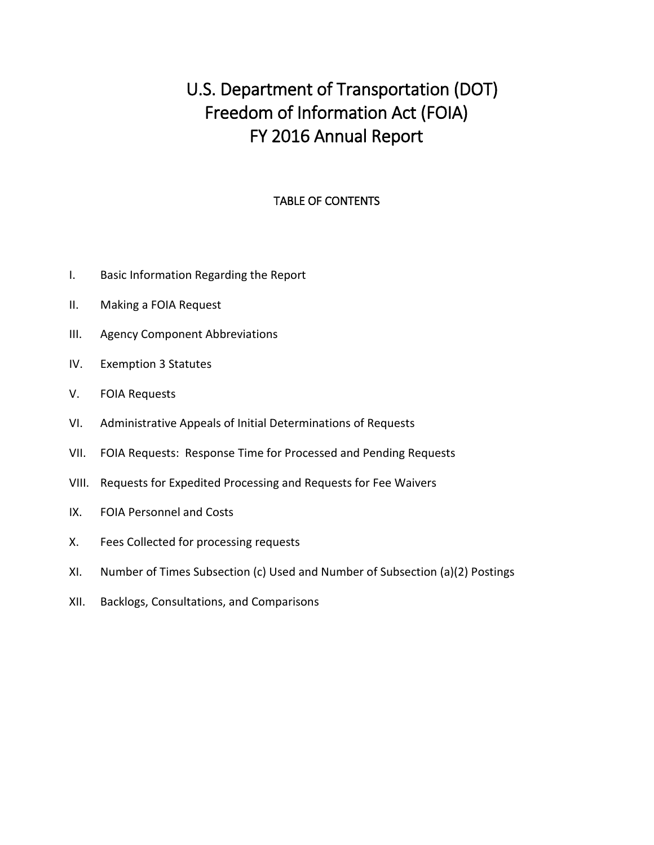# U.S. Department of Transportation (DOT) Freedom of Information Act (FOIA) FY 2016 Annual Report

#### TABLE OF CONTENTS

- I. [Basic Information Regarding the Report](#page-1-0)
- [II. Making a FOIA Request](#page-2-0)
- III. [Agency Component Abbreviations](#page-4-0)
- IV. [Exemption 3 Statutes](#page-5-0)
- V. [FOIA Requests](#page-7-0)
- VI. [Administrative Appeals of Initial Determinations of Requests](#page-11-0)
- VII. [FOIA Requests: Response Time for Processed and Pending Requests](#page-17-0)
- VIII. [Requests for Expedited Processing and Requests for Fee Waivers](#page-24-0)
- IX. [FOIA Personnel and Costs](#page-26-0)
- X. [Fees Collected for processing requests](#page-27-0)
- XI. [Number of Times Subsection \(c\) Used and Number of Subsection \(a\)\(2\) Postings](#page-28-0)
- XII. [Backlogs, Consultations, and Comparisons](#page-30-0)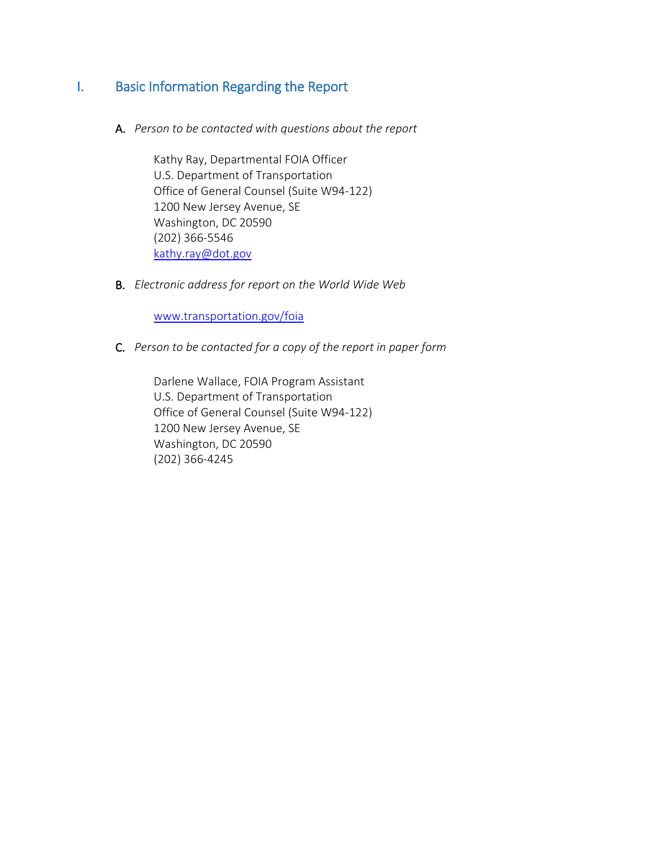### <span id="page-1-0"></span>I. Basic Information Regarding the Report

A. *Person to be contacted with questions about the report*

Kathy Ray, Departmental FOIA Officer U.S. Department of Transportation Office of General Counsel (Suite W94-122) 1200 New Jersey Avenue, SE Washington, DC 20590 (202) 366-5546 [kathy.ray@dot.gov](mailto:kathy.ray@dot.gov)

B. *Electronic address for report on the World Wide Web*

www.transportation.gov/foia

C. *Person to be contacted for a copy of the report in paper form*

Darlene Wallace, FOIA Program Assistant U.S. Department of Transportation Office of General Counsel (Suite W94-122) 1200 New Jersey Avenue, SE Washington, DC 20590 (202) 366-4245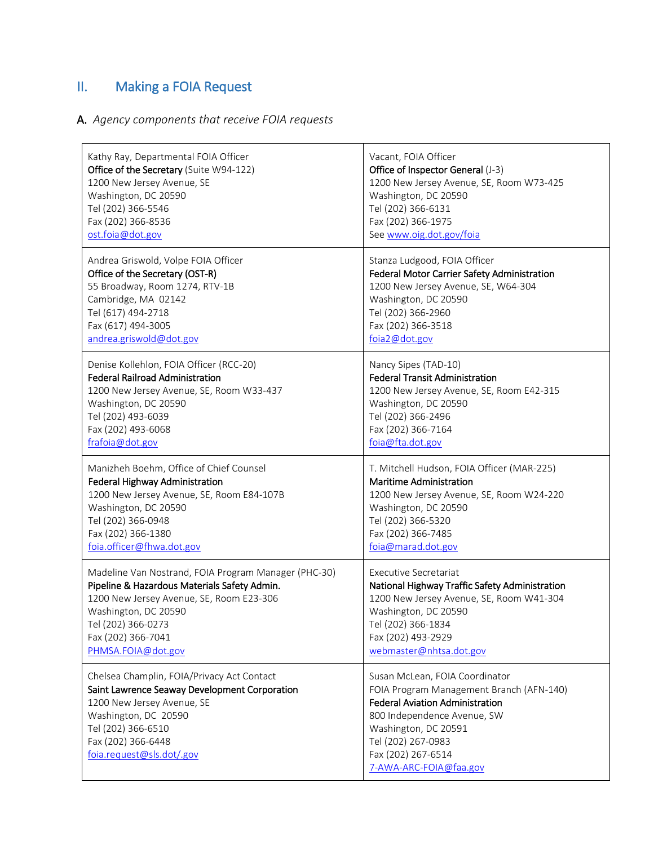# <span id="page-2-0"></span>II. Making a FOIA Request

## A. *Agency components that receive FOIA requests*

| Kathy Ray, Departmental FOIA Officer                                                                                                                                                                                       | Vacant, FOIA Officer                                                                                                                                                                                                                              |
|----------------------------------------------------------------------------------------------------------------------------------------------------------------------------------------------------------------------------|---------------------------------------------------------------------------------------------------------------------------------------------------------------------------------------------------------------------------------------------------|
| Office of the Secretary (Suite W94-122)                                                                                                                                                                                    | Office of Inspector General (J-3)                                                                                                                                                                                                                 |
| 1200 New Jersey Avenue, SE                                                                                                                                                                                                 | 1200 New Jersey Avenue, SE, Room W73-425                                                                                                                                                                                                          |
| Washington, DC 20590                                                                                                                                                                                                       | Washington, DC 20590                                                                                                                                                                                                                              |
| Tel (202) 366-5546                                                                                                                                                                                                         | Tel (202) 366-6131                                                                                                                                                                                                                                |
| Fax (202) 366-8536                                                                                                                                                                                                         | Fax (202) 366-1975                                                                                                                                                                                                                                |
| ost.foia@dot.gov                                                                                                                                                                                                           | See www.oig.dot.gov/foia                                                                                                                                                                                                                          |
| Andrea Griswold, Volpe FOIA Officer                                                                                                                                                                                        | Stanza Ludgood, FOIA Officer                                                                                                                                                                                                                      |
| Office of the Secretary (OST-R)                                                                                                                                                                                            | Federal Motor Carrier Safety Administration                                                                                                                                                                                                       |
| 55 Broadway, Room 1274, RTV-1B                                                                                                                                                                                             | 1200 New Jersey Avenue, SE, W64-304                                                                                                                                                                                                               |
| Cambridge, MA 02142                                                                                                                                                                                                        | Washington, DC 20590                                                                                                                                                                                                                              |
| Tel (617) 494-2718                                                                                                                                                                                                         | Tel (202) 366-2960                                                                                                                                                                                                                                |
| Fax (617) 494-3005                                                                                                                                                                                                         | Fax (202) 366-3518                                                                                                                                                                                                                                |
| andrea.griswold@dot.gov                                                                                                                                                                                                    | foia2@dot.gov                                                                                                                                                                                                                                     |
| Denise Kollehlon, FOIA Officer (RCC-20)                                                                                                                                                                                    | Nancy Sipes (TAD-10)                                                                                                                                                                                                                              |
| <b>Federal Railroad Administration</b>                                                                                                                                                                                     | <b>Federal Transit Administration</b>                                                                                                                                                                                                             |
| 1200 New Jersey Avenue, SE, Room W33-437                                                                                                                                                                                   | 1200 New Jersey Avenue, SE, Room E42-315                                                                                                                                                                                                          |
| Washington, DC 20590                                                                                                                                                                                                       | Washington, DC 20590                                                                                                                                                                                                                              |
| Tel (202) 493-6039                                                                                                                                                                                                         | Tel (202) 366-2496                                                                                                                                                                                                                                |
| Fax (202) 493-6068                                                                                                                                                                                                         | Fax (202) 366-7164                                                                                                                                                                                                                                |
| frafoia@dot.gov                                                                                                                                                                                                            | foia@fta.dot.gov                                                                                                                                                                                                                                  |
| Manizheh Boehm, Office of Chief Counsel                                                                                                                                                                                    | T. Mitchell Hudson, FOIA Officer (MAR-225)                                                                                                                                                                                                        |
| Federal Highway Administration                                                                                                                                                                                             | <b>Maritime Administration</b>                                                                                                                                                                                                                    |
| 1200 New Jersey Avenue, SE, Room E84-107B                                                                                                                                                                                  | 1200 New Jersey Avenue, SE, Room W24-220                                                                                                                                                                                                          |
| Washington, DC 20590                                                                                                                                                                                                       | Washington, DC 20590                                                                                                                                                                                                                              |
| Tel (202) 366-0948                                                                                                                                                                                                         | Tel (202) 366-5320                                                                                                                                                                                                                                |
| Fax (202) 366-1380                                                                                                                                                                                                         | Fax (202) 366-7485                                                                                                                                                                                                                                |
| foia.officer@fhwa.dot.gov                                                                                                                                                                                                  | foia@marad.dot.gov                                                                                                                                                                                                                                |
| Madeline Van Nostrand, FOIA Program Manager (PHC-30)                                                                                                                                                                       | <b>Executive Secretariat</b>                                                                                                                                                                                                                      |
| Pipeline & Hazardous Materials Safety Admin.                                                                                                                                                                               | National Highway Traffic Safety Administration                                                                                                                                                                                                    |
| 1200 New Jersey Avenue, SE, Room E23-306                                                                                                                                                                                   | 1200 New Jersey Avenue, SE, Room W41-304                                                                                                                                                                                                          |
| Washington, DC 20590                                                                                                                                                                                                       | Washington, DC 20590                                                                                                                                                                                                                              |
| Tel (202) 366-0273                                                                                                                                                                                                         | Tel (202) 366-1834                                                                                                                                                                                                                                |
| Fax (202) 366-7041                                                                                                                                                                                                         | Fax (202) 493-2929                                                                                                                                                                                                                                |
| PHMSA.FOIA@dot.gov                                                                                                                                                                                                         | webmaster@nhtsa.dot.gov                                                                                                                                                                                                                           |
| Chelsea Champlin, FOIA/Privacy Act Contact<br>Saint Lawrence Seaway Development Corporation<br>1200 New Jersey Avenue, SE<br>Washington, DC 20590<br>Tel (202) 366-6510<br>Fax (202) 366-6448<br>foia.request@sls.dot/.gov | Susan McLean, FOIA Coordinator<br>FOIA Program Management Branch (AFN-140)<br><b>Federal Aviation Administration</b><br>800 Independence Avenue, SW<br>Washington, DC 20591<br>Tel (202) 267-0983<br>Fax (202) 267-6514<br>7-AWA-ARC-FOIA@faa.gov |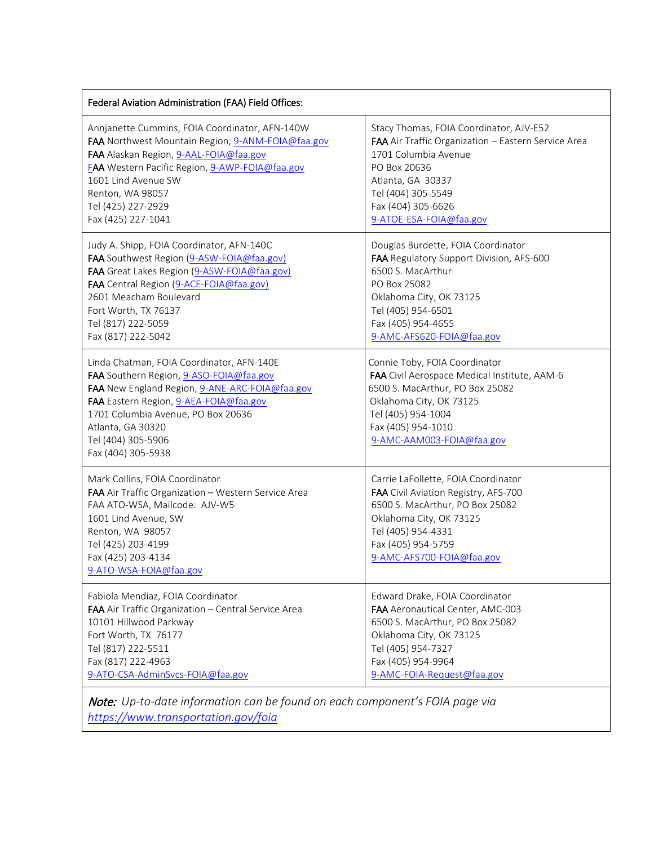| Federal Aviation Administration (FAA) Field Offices:                                                                                                                                                                                                                                    |                                                                                                                                                                                                                      |
|-----------------------------------------------------------------------------------------------------------------------------------------------------------------------------------------------------------------------------------------------------------------------------------------|----------------------------------------------------------------------------------------------------------------------------------------------------------------------------------------------------------------------|
| Annjanette Cummins, FOIA Coordinator, AFN-140W                                                                                                                                                                                                                                          | Stacy Thomas, FOIA Coordinator, AJV-E52                                                                                                                                                                              |
| FAA Northwest Mountain Region, 9-ANM-FOIA@faa.gov                                                                                                                                                                                                                                       | FAA Air Traffic Organization - Eastern Service Area                                                                                                                                                                  |
| FAA Alaskan Region, 9-AAL-FOIA@faa.gov                                                                                                                                                                                                                                                  | 1701 Columbia Avenue                                                                                                                                                                                                 |
| <b>FAA</b> Western Pacific Region, 9-AWP-FOIA@faa.gov                                                                                                                                                                                                                                   | PO Box 20636                                                                                                                                                                                                         |
| 1601 Lind Avenue SW                                                                                                                                                                                                                                                                     | Atlanta, GA 30337                                                                                                                                                                                                    |
| Renton, WA 98057                                                                                                                                                                                                                                                                        | Tel (404) 305-5549                                                                                                                                                                                                   |
| Tel (425) 227-2929                                                                                                                                                                                                                                                                      | Fax (404) 305-6626                                                                                                                                                                                                   |
| Fax (425) 227-1041                                                                                                                                                                                                                                                                      | 9-ATOE-ESA-FOIA@faa.gov                                                                                                                                                                                              |
| Judy A. Shipp, FOIA Coordinator, AFN-140C                                                                                                                                                                                                                                               | Douglas Burdette, FOIA Coordinator                                                                                                                                                                                   |
| FAA Southwest Region (9-ASW-FOIA@faa.gov)                                                                                                                                                                                                                                               | FAA Regulatory Support Division, AFS-600                                                                                                                                                                             |
| FAA Great Lakes Region (9-ASW-FOIA@faa.gov)                                                                                                                                                                                                                                             | 6500 S. MacArthur                                                                                                                                                                                                    |
| FAA Central Region (9-ACE-FOIA@faa.gov)                                                                                                                                                                                                                                                 | PO Box 25082                                                                                                                                                                                                         |
| 2601 Meacham Boulevard                                                                                                                                                                                                                                                                  | Oklahoma City, OK 73125                                                                                                                                                                                              |
| Fort Worth, TX 76137                                                                                                                                                                                                                                                                    | Tel (405) 954-6501                                                                                                                                                                                                   |
| Tel (817) 222-5059                                                                                                                                                                                                                                                                      | Fax (405) 954-4655                                                                                                                                                                                                   |
| Fax (817) 222-5042                                                                                                                                                                                                                                                                      | 9-AMC-AFS620-FOIA@faa.gov                                                                                                                                                                                            |
| Linda Chatman, FOIA Coordinator, AFN-140E<br>FAA Southern Region, 9-ASO-FOIA@faa.gov<br>FAA New England Region, 9-ANE-ARC-FOIA@faa.gov<br>FAA Eastern Region, 9-AEA-FOIA@faa.gov<br>1701 Columbia Avenue, PO Box 20636<br>Atlanta, GA 30320<br>Tel (404) 305-5906<br>Fax (404) 305-5938 | Connie Toby, FOIA Coordinator<br>FAA Civil Aerospace Medical Institute, AAM-6<br>6500 S. MacArthur, PO Box 25082<br>Oklahoma City, OK 73125<br>Tel (405) 954-1004<br>Fax (405) 954-1010<br>9-AMC-AAM003-FOIA@faa.gov |
| Mark Collins, FOIA Coordinator<br>FAA Air Traffic Organization - Western Service Area<br>FAA ATO-WSA, Mailcode: AJV-W5<br>1601 Lind Avenue, SW<br>Renton, WA 98057<br>Tel (425) 203-4199<br>Fax (425) 203-4134<br>9-ATO-WSA-FOIA@faa.gov                                                | Carrie LaFollette, FOIA Coordinator<br>FAA Civil Aviation Registry, AFS-700<br>6500 S. MacArthur, PO Box 25082<br>Oklahoma City, OK 73125<br>Tel (405) 954-4331<br>Fax (405) 954-5759<br>9-AMC-AFS700-FOIA@faa.gov   |
| Fabiola Mendiaz, FOIA Coordinator                                                                                                                                                                                                                                                       | Edward Drake, FOIA Coordinator                                                                                                                                                                                       |
| FAA Air Traffic Organization - Central Service Area                                                                                                                                                                                                                                     | FAA Aeronautical Center, AMC-003                                                                                                                                                                                     |
| 10101 Hillwood Parkway                                                                                                                                                                                                                                                                  | 6500 S. MacArthur, PO Box 25082                                                                                                                                                                                      |
| Fort Worth, TX 76177                                                                                                                                                                                                                                                                    | Oklahoma City, OK 73125                                                                                                                                                                                              |
| Tel (817) 222-5511                                                                                                                                                                                                                                                                      | Tel (405) 954-7327                                                                                                                                                                                                   |
| Fax (817) 222-4963                                                                                                                                                                                                                                                                      | Fax (405) 954-9964                                                                                                                                                                                                   |
| 9-ATO-CSA-AdminSvcs-FOIA@faa.gov                                                                                                                                                                                                                                                        | 9-AMC-FOIA-Request@faa.gov                                                                                                                                                                                           |

Note: *Up-to-date information can be found on each component's FOIA page via <https://www.transportation.gov/foia>*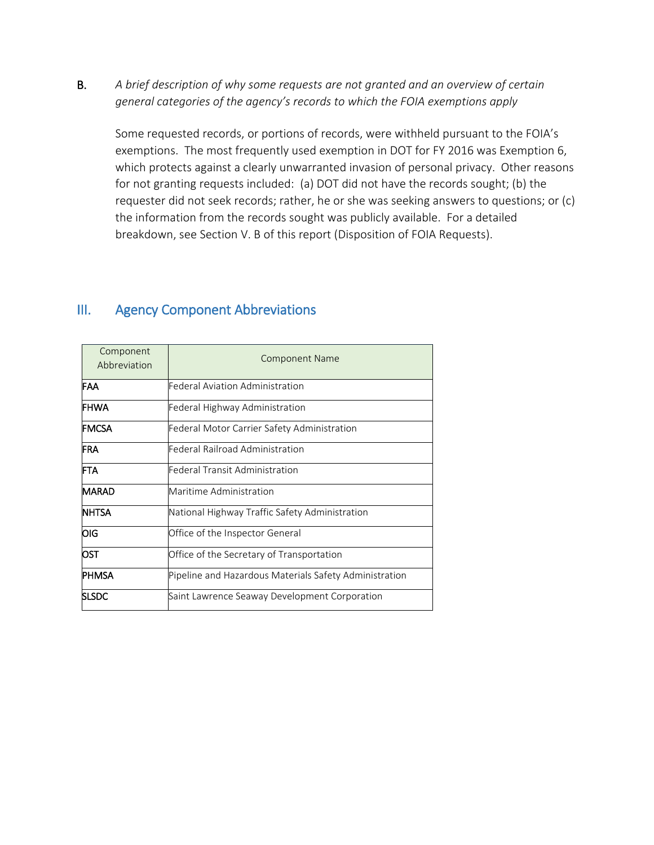B. *A brief description of why some requests are not granted and an overview of certain general categories of the agency's records to which the FOIA exemptions apply*

Some requested records, or portions of records, were withheld pursuant to the FOIA's exemptions. The most frequently used exemption in DOT for FY 2016 was Exemption 6, which protects against a clearly unwarranted invasion of personal privacy. Other reasons for not granting requests included: (a) DOT did not have the records sought; (b) the requester did not seek records; rather, he or she was seeking answers to questions; or (c) the information from the records sought was publicly available. For a detailed breakdown, see Section V. B of this report (Disposition of FOIA Requests).

| Component<br>Abbreviation | <b>Component Name</b>                                  |  |  |  |  |  |  |  |
|---------------------------|--------------------------------------------------------|--|--|--|--|--|--|--|
| IFAA                      | Federal Aviation Administration                        |  |  |  |  |  |  |  |
| <b>FHWA</b>               | Federal Highway Administration                         |  |  |  |  |  |  |  |
| <b>FMCSA</b>              | Federal Motor Carrier Safety Administration            |  |  |  |  |  |  |  |
| <b>FRA</b>                | Federal Railroad Administration                        |  |  |  |  |  |  |  |
| <b>FTA</b>                | Federal Transit Administration                         |  |  |  |  |  |  |  |
| <b>MARAD</b>              | Maritime Administration                                |  |  |  |  |  |  |  |
| <b>NHTSA</b>              | National Highway Traffic Safety Administration         |  |  |  |  |  |  |  |
| OIG                       | Office of the Inspector General                        |  |  |  |  |  |  |  |
| <b>IOST</b>               | Office of the Secretary of Transportation              |  |  |  |  |  |  |  |
| <b>PHMSA</b>              | Pipeline and Hazardous Materials Safety Administration |  |  |  |  |  |  |  |
| <b>SLSDC</b>              | Saint Lawrence Seaway Development Corporation          |  |  |  |  |  |  |  |

#### <span id="page-4-0"></span>III. Agency Component Abbreviations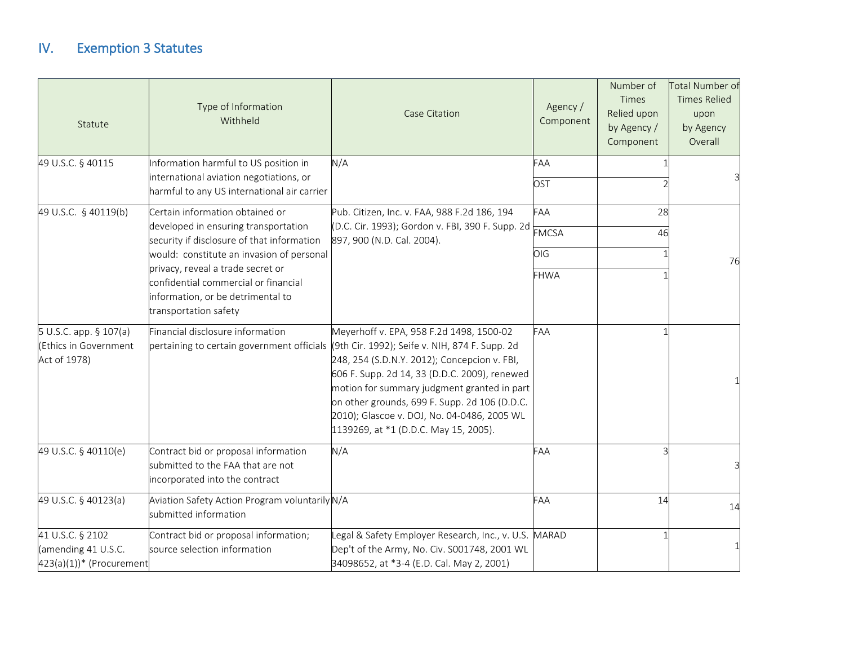## IV. Exemption 3 Statutes

<span id="page-5-0"></span>

| Statute                                                             | Type of Information<br>Withheld                                                                                                                                                      | <b>Case Citation</b>                                                                                                                                                                                                                                                                                                                                                                                                           | Agency /<br>Component | Number of<br>Times<br>Relied upon<br>by Agency /<br>Component | Total Number of<br><b>Times Relied</b><br>upon<br>by Agency<br>Overall |  |
|---------------------------------------------------------------------|--------------------------------------------------------------------------------------------------------------------------------------------------------------------------------------|--------------------------------------------------------------------------------------------------------------------------------------------------------------------------------------------------------------------------------------------------------------------------------------------------------------------------------------------------------------------------------------------------------------------------------|-----------------------|---------------------------------------------------------------|------------------------------------------------------------------------|--|
| 49 U.S.C. § 40115                                                   | Information harmful to US position in<br>international aviation negotiations, or<br>harmful to any US international air carrier                                                      | N/A                                                                                                                                                                                                                                                                                                                                                                                                                            | FAA<br>OST            |                                                               |                                                                        |  |
| 49 U.S.C. § 40119(b)                                                | Certain information obtained or<br>developed in ensuring transportation<br>security if disclosure of that information                                                                | Pub. Citizen, Inc. v. FAA, 988 F.2d 186, 194<br>(D.C. Cir. 1993); Gordon v. FBI, 390 F. Supp. 2d<br>897, 900 (N.D. Cal. 2004).                                                                                                                                                                                                                                                                                                 | FAA<br><b>FMCSA</b>   | 28<br>46                                                      |                                                                        |  |
|                                                                     | would: constitute an invasion of personal<br>privacy, reveal a trade secret or<br>confidential commercial or financial<br>information, or be detrimental to<br>transportation safety |                                                                                                                                                                                                                                                                                                                                                                                                                                | OIG<br><b>FHWA</b>    |                                                               | 76                                                                     |  |
| 5 U.S.C. app. § 107(a)<br>(Ethics in Government<br>Act of 1978)     | Financial disclosure information                                                                                                                                                     | Meyerhoff v. EPA, 958 F.2d 1498, 1500-02<br>pertaining to certain government officials (9th Cir. 1992); Seife v. NIH, 874 F. Supp. 2d<br>248, 254 (S.D.N.Y. 2012); Concepcion v. FBI,<br>606 F. Supp. 2d 14, 33 (D.D.C. 2009), renewed<br>motion for summary judgment granted in part<br>on other grounds, 699 F. Supp. 2d 106 (D.D.C.<br>2010); Glascoe v. DOJ, No. 04-0486, 2005 WL<br>1139269, at *1 (D.D.C. May 15, 2005). | FAA                   |                                                               |                                                                        |  |
| 49 U.S.C. § 40110(e)                                                | Contract bid or proposal information<br>submitted to the FAA that are not<br>incorporated into the contract                                                                          | N/A                                                                                                                                                                                                                                                                                                                                                                                                                            | FAA                   |                                                               |                                                                        |  |
| 49 U.S.C. § 40123(a)                                                | Aviation Safety Action Program voluntarily N/A<br>submitted information                                                                                                              |                                                                                                                                                                                                                                                                                                                                                                                                                                | FAA                   | 14                                                            | 14                                                                     |  |
| 41 U.S.C. § 2102<br>(amending 41 U.S.C.<br>423(a)(1))* (Procurement | Contract bid or proposal information;<br>source selection information                                                                                                                | Legal & Safety Employer Research, Inc., v. U.S.<br>Dep't of the Army, No. Civ. S001748, 2001 WL<br>34098652, at *3-4 (E.D. Cal. May 2, 2001)                                                                                                                                                                                                                                                                                   | <b>MARAD</b>          |                                                               |                                                                        |  |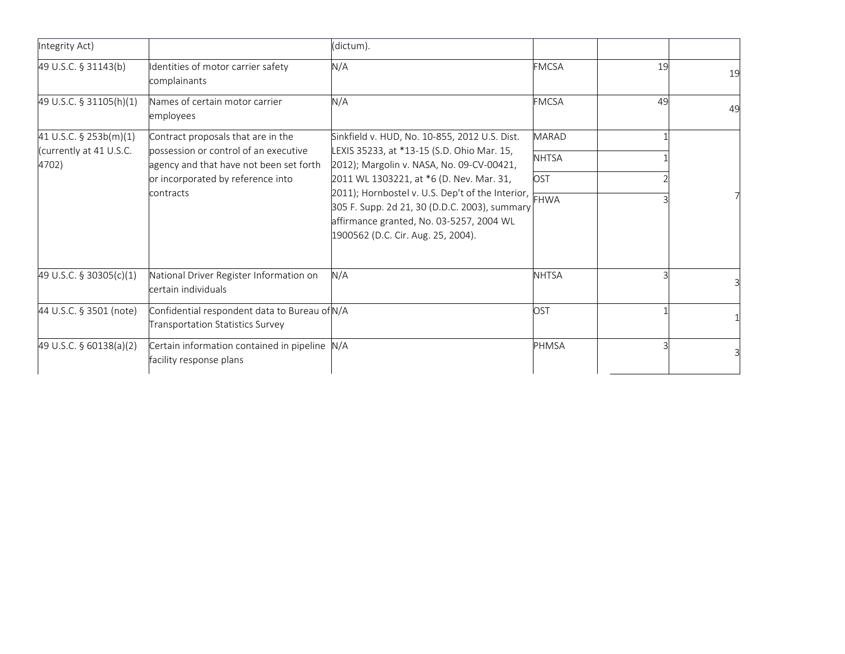| Integrity Act)                   |                                                                                   | (dictum).                                                                                                                                                                                |              |    |    |
|----------------------------------|-----------------------------------------------------------------------------------|------------------------------------------------------------------------------------------------------------------------------------------------------------------------------------------|--------------|----|----|
| 49 U.S.C. § 31143(b)             | Identities of motor carrier safety<br>complainants                                | N/A                                                                                                                                                                                      | <b>FMCSA</b> | 19 | 19 |
| 49 U.S.C. § 31105(h)(1)          | Names of certain motor carrier<br>employees                                       | N/A                                                                                                                                                                                      | <b>FMCSA</b> | 49 | 49 |
| 41 U.S.C. $\S$ 253b(m)(1)        | Contract proposals that are in the                                                | Sinkfield v. HUD, No. 10-855, 2012 U.S. Dist.                                                                                                                                            | <b>MARAD</b> |    |    |
| (currently at 41 U.S.C.<br>4702) | possession or control of an executive<br>agency and that have not been set forth  | LEXIS 35233, at *13-15 (S.D. Ohio Mar. 15,<br>2012); Margolin v. NASA, No. 09-CV-00421,                                                                                                  | <b>NHTSA</b> |    |    |
|                                  | or incorporated by reference into<br>contracts                                    | 2011 WL 1303221, at *6 (D. Nev. Mar. 31,                                                                                                                                                 | OST          |    |    |
|                                  |                                                                                   | 2011); Hornbostel v. U.S. Dep't of the Interior, FHWA<br>305 F. Supp. 2d 21, 30 (D.D.C. 2003), summary<br>affirmance granted, No. 03-5257, 2004 WL<br>1900562 (D.C. Cir. Aug. 25, 2004). |              |    |    |
| 49 U.S.C. § 30305(c)(1)          | National Driver Register Information on<br>certain individuals                    | N/A                                                                                                                                                                                      | <b>NHTSA</b> |    |    |
| 44 U.S.C. § 3501 (note)          | Confidential respondent data to Bureau of N/A<br>Transportation Statistics Survey |                                                                                                                                                                                          | OST          |    |    |
| 49 U.S.C. § 60138(a)(2)          | Certain information contained in pipeline N/A<br>facility response plans          |                                                                                                                                                                                          | PHMSA        |    |    |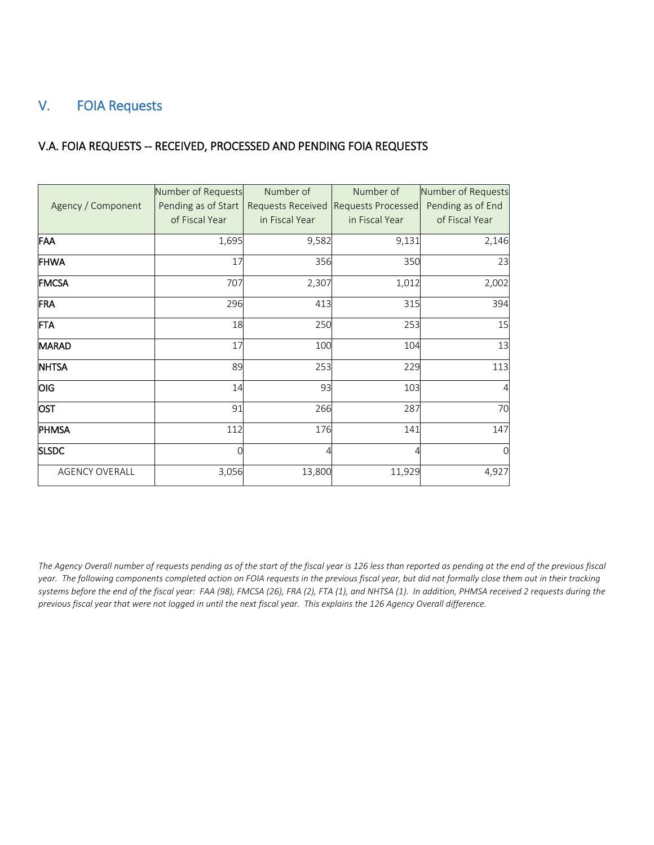### <span id="page-7-0"></span>V. FOIA Requests

#### V.A. FOIA REQUESTS -- RECEIVED, PROCESSED AND PENDING FOIA REQUESTS

|                       | Number of Requests  | Number of         | Number of          | Number of Requests |
|-----------------------|---------------------|-------------------|--------------------|--------------------|
| Agency / Component    | Pending as of Start | Requests Received | Requests Processed | Pending as of End  |
|                       | of Fiscal Year      | in Fiscal Year    | in Fiscal Year     | of Fiscal Year     |
| <b>FAA</b>            | 1,695               | 9,582             | 9,131              | 2,146              |
| <b>FHWA</b>           | 17                  | 356               | 350                | 23                 |
| <b>FMCSA</b>          | 707                 | 2,307             | 1,012              | 2,002              |
| FRA                   | 296                 | 413               | 315                | 394                |
| <b>FTA</b>            | 18                  | 250               | 253                | 15                 |
| MARAD                 | 17                  | 100               | 104                | 13                 |
| <b>NHTSA</b>          | 89                  | 253               | 229                | 113                |
| <b>OIG</b>            | 14                  | 93                | 103                |                    |
| <b>OST</b>            | 91                  | 266               | 287                | 70                 |
| PHMSA                 | 112                 | 176               | 141                | 147                |
| <b>SLSDC</b>          | 0                   | 4                 | 4                  | O                  |
| <b>AGENCY OVERALL</b> | 3,056               | 13,800            | 11,929             | 4,927              |

*The Agency Overall number of requests pending as of the start of the fiscal year is 126 less than reported as pending at the end of the previous fiscal year. The following components completed action on FOIA requests in the previous fiscal year, but did not formally close them out in their tracking systems before the end of the fiscal year: FAA (98), FMCSA (26), FRA (2), FTA (1), and NHTSA (1). In addition, PHMSA received 2 requests during the previous fiscal year that were not logged in until the next fiscal year. This explains the 126 Agency Overall difference.*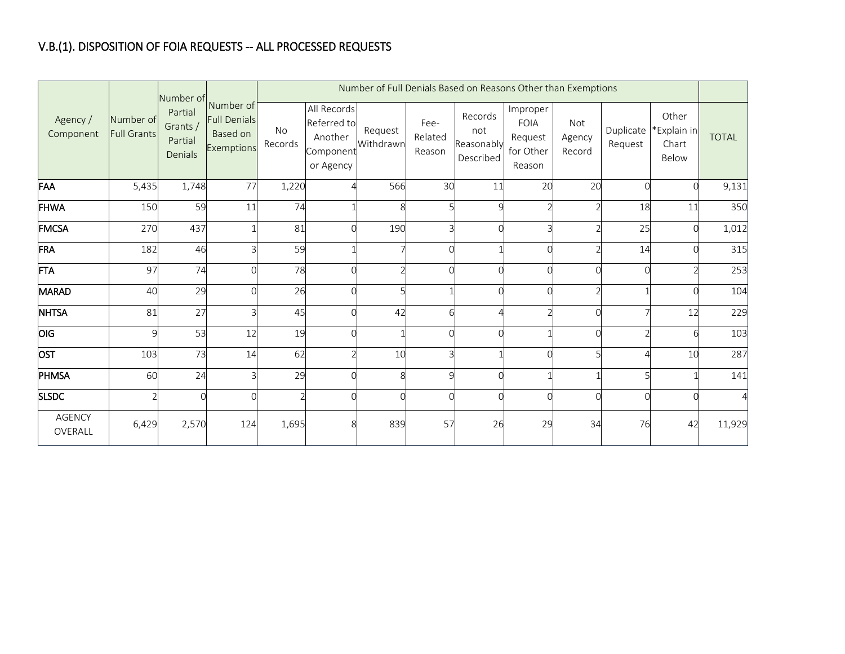## V.B.(1). DISPOSITION OF FOIA REQUESTS -- ALL PROCESSED REQUESTS

|                          |                                 |                                           |                                                                      | Number of Full Denials Based on Reasons Other than Exemptions |                                                                 |                      |                           |                                           |                                                           |                                |                      |                                        |              |
|--------------------------|---------------------------------|-------------------------------------------|----------------------------------------------------------------------|---------------------------------------------------------------|-----------------------------------------------------------------|----------------------|---------------------------|-------------------------------------------|-----------------------------------------------------------|--------------------------------|----------------------|----------------------------------------|--------------|
| Agency /<br>Component    | Number of<br><b>Full Grants</b> | Partial<br>Grants /<br>Partial<br>Denials | Number of Number of<br><b>Full Denials</b><br>Based on<br>Exemptions | <b>No</b><br>Records                                          | All Records<br>Referred to<br>Another<br>Component<br>or Agency | Request<br>Withdrawn | Fee-<br>Related<br>Reason | Records<br>not<br>Reasonably<br>Described | Improper<br><b>FOIA</b><br>Request<br>for Other<br>Reason | <b>Not</b><br>Agency<br>Record | Duplicate<br>Request | Other<br>*Explain in<br>Chart<br>Below | <b>TOTAL</b> |
| FAA                      | 5,435                           | 1,748                                     | 77                                                                   | 1,220                                                         |                                                                 | 566                  | 30                        | 11                                        | 20                                                        | 20                             | $\cap$               |                                        | 9,131        |
| <b>FHWA</b>              | 150                             | 59                                        | 11                                                                   | 74                                                            |                                                                 | 8                    |                           | C                                         |                                                           |                                | 18                   | 11                                     | 350          |
| <b>FMCSA</b>             | 270                             | 437                                       |                                                                      | 81                                                            |                                                                 | 190                  |                           | $\cap$                                    |                                                           |                                | 25                   |                                        | 1,012        |
| FRA                      | 182                             | 46                                        | r                                                                    | 59                                                            |                                                                 |                      |                           |                                           |                                                           |                                | 14                   |                                        | 315          |
| <b>FTA</b>               | 97                              | 74                                        |                                                                      | 78                                                            |                                                                 |                      |                           | $\sqrt{ }$                                |                                                           |                                |                      |                                        | 253          |
| <b>MARAD</b>             | 40                              | 29                                        |                                                                      | 26                                                            |                                                                 |                      |                           |                                           |                                                           |                                |                      |                                        | 104          |
| <b>NHTSA</b>             | 81                              | 27                                        | ₹                                                                    | 45                                                            |                                                                 | 42                   |                           |                                           |                                                           |                                |                      | 12                                     | 229          |
| OIG                      | $\mathsf{q}$                    | 53                                        | 12                                                                   | 19                                                            |                                                                 |                      |                           | $\sqrt{ }$                                |                                                           |                                |                      |                                        | 103          |
| <b>OST</b>               | 103                             | 73                                        | 14                                                                   | 62                                                            |                                                                 | 10                   | ς                         |                                           |                                                           |                                |                      | 10                                     | 287          |
| PHMSA                    | 60                              | 24                                        |                                                                      | 29                                                            |                                                                 | 8                    | Q                         | $\sqrt{ }$                                |                                                           |                                | 5                    |                                        | 141          |
| <b>SLSDC</b>             |                                 | $\cap$                                    | $\sqrt{ }$                                                           |                                                               |                                                                 | ∩                    | U                         | $\sqrt{ }$                                |                                                           |                                | $\Omega$             |                                        | $\Delta$     |
| <b>AGENCY</b><br>OVERALL | 6,429                           | 2,570                                     | 124                                                                  | 1,695                                                         |                                                                 | 839                  | 57                        | 26                                        | 29                                                        | 34                             | 76                   | 42                                     | 11,929       |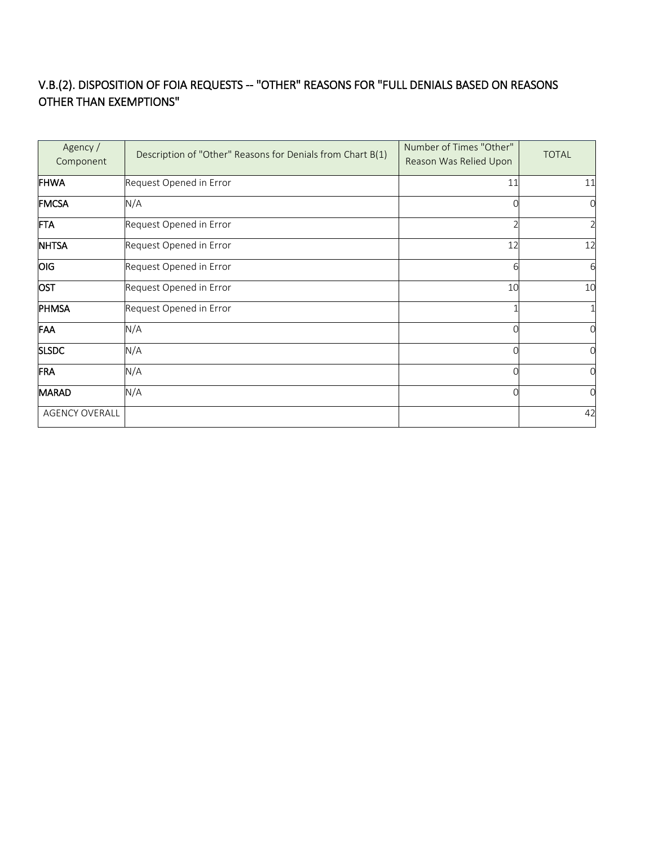### V.B.(2). DISPOSITION OF FOIA REQUESTS -- "OTHER" REASONS FOR "FULL DENIALS BASED ON REASONS OTHER THAN EXEMPTIONS"

| Agency /<br>Component | Description of "Other" Reasons for Denials from Chart B(1) | Number of Times "Other"<br>Reason Was Relied Upon | <b>TOTAL</b> |
|-----------------------|------------------------------------------------------------|---------------------------------------------------|--------------|
| <b>FHWA</b>           | Request Opened in Error                                    | 11                                                | 11           |
| <b>FMCSA</b>          | N/A                                                        | $\Omega$                                          |              |
| FTA                   | Request Opened in Error                                    |                                                   |              |
| <b>NHTSA</b>          | Request Opened in Error                                    | 12                                                | 12           |
| OIG                   | Request Opened in Error                                    | 6                                                 |              |
| OST                   | Request Opened in Error                                    | 10                                                | 10           |
| PHMSA                 | Request Opened in Error                                    |                                                   |              |
| FAA                   | N/A                                                        | ∩                                                 |              |
| <b>SLSDC</b>          | N/A                                                        | በ                                                 |              |
| FRA                   | N/A                                                        | U                                                 |              |
| <b>MARAD</b>          | N/A                                                        | ∩                                                 |              |
| <b>AGENCY OVERALL</b> |                                                            |                                                   | 42           |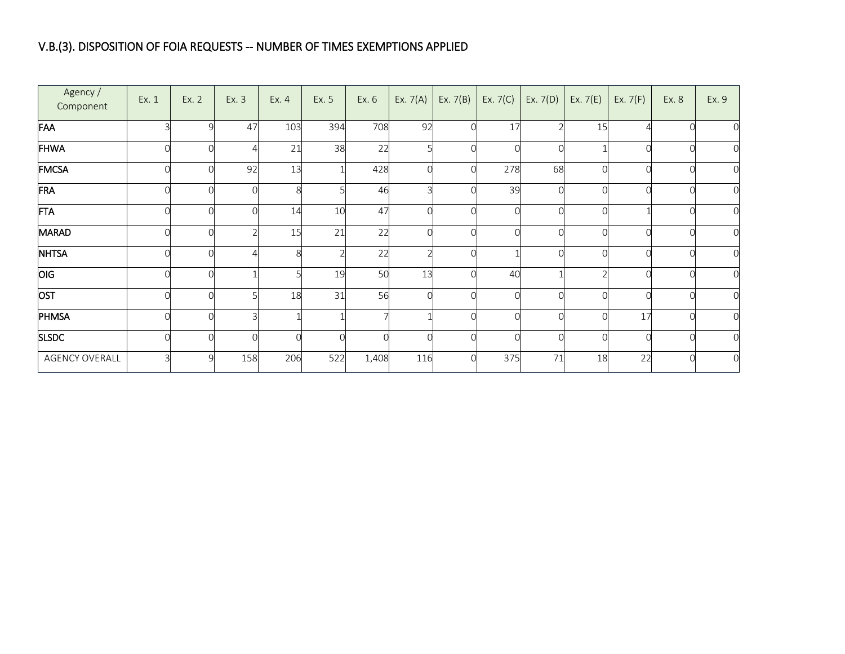## V.B.(3). DISPOSITION OF FOIA REQUESTS -- NUMBER OF TIMES EXEMPTIONS APPLIED

| Agency /<br>Component | Ex. 1 | Ex. 2    | Ex. 3 | Ex. 4 | Ex. 5 | Ex. 6 | Ex. $7(A)$ | Ex. $7(B)$ | Ex. $7(C)$ | Ex. $7(D)$ | Ex. $7(E)$ | Ex. $7(F)$ | Ex. 8 | Ex. 9          |
|-----------------------|-------|----------|-------|-------|-------|-------|------------|------------|------------|------------|------------|------------|-------|----------------|
| FAA                   |       | 9        | 47    | 103   | 394   | 708   | 92         |            | 17         |            | 15         |            |       |                |
| FHWA                  |       |          |       | 21    | 38    | 22    |            |            |            |            |            |            |       | 0              |
| FMCSA                 |       | $\cap$   | 92    | 13    |       | 428   |            | O          | 278        | 68         |            |            |       | 0              |
| FRA                   |       | C        |       | 8     |       | 46    |            |            | 39         |            |            |            |       | 0              |
| FTA                   |       | U        |       | 14    | 10    | 47    |            |            |            |            |            |            |       | $\mathbf 0$    |
| <b>MARAD</b>          |       | C        |       | 15    | 21    | 22    |            |            |            |            |            |            |       | $\mathbf 0$    |
| <b>NHTSA</b>          |       | $\cap$   |       | 8     |       | 22    |            |            |            |            |            |            |       | $\mathbf 0$    |
| OIG                   |       |          |       |       | 19    | 50    | 13         |            | 40         |            |            |            |       | 0              |
| OST                   |       | ∩        |       | 18    | 31    | 56    |            |            |            |            |            |            |       | $\mathbf 0$    |
| PHMSA                 |       | ∩        |       |       |       |       |            |            |            |            |            | 17         |       | $\mathbf 0$    |
| <b>SLSDC</b>          |       | $\Omega$ |       |       | 0     |       |            |            |            |            |            |            |       | $\mathbf 0$    |
| <b>AGENCY OVERALL</b> |       | q        | 158   | 206   | 522   | 1,408 | 116        |            | 375        | 71         | 18         | 22         |       | $\overline{0}$ |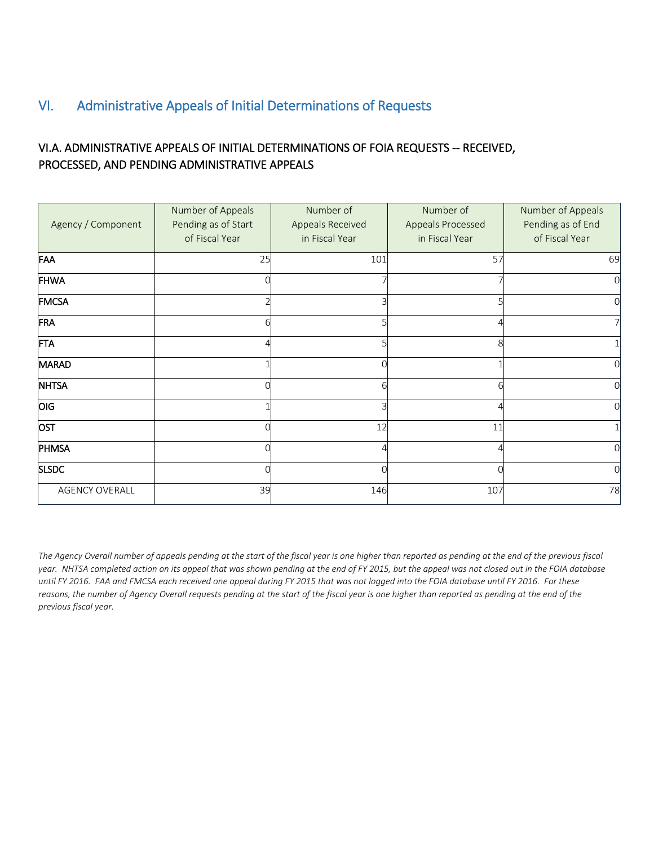## <span id="page-11-0"></span>VI. Administrative Appeals of Initial Determinations of Requests

### VI.A. ADMINISTRATIVE APPEALS OF INITIAL DETERMINATIONS OF FOIA REQUESTS -- RECEIVED, PROCESSED, AND PENDING ADMINISTRATIVE APPEALS

| Agency / Component | Number of Appeals<br>Pending as of Start<br>of Fiscal Year | Number of<br>Appeals Received<br>in Fiscal Year | Number of<br>Appeals Processed<br>in Fiscal Year | Number of Appeals<br>Pending as of End<br>of Fiscal Year |
|--------------------|------------------------------------------------------------|-------------------------------------------------|--------------------------------------------------|----------------------------------------------------------|
| FAA                | 25                                                         | 101                                             | 57                                               | 69                                                       |
| FHWA               |                                                            |                                                 |                                                  |                                                          |
| <b>FMCSA</b>       |                                                            |                                                 |                                                  |                                                          |
| FRA                | 6                                                          |                                                 |                                                  |                                                          |
| <b>FTA</b>         |                                                            |                                                 |                                                  |                                                          |
| MARAD              |                                                            |                                                 |                                                  |                                                          |
| <b>NHTSA</b>       |                                                            | 6                                               |                                                  |                                                          |
| OIG                |                                                            |                                                 |                                                  |                                                          |
| <b>OST</b>         |                                                            | 12                                              | 11                                               |                                                          |
| PHMSA              |                                                            |                                                 |                                                  |                                                          |
| <b>SLSDC</b>       | ⋂                                                          |                                                 |                                                  |                                                          |
| AGENCY OVERALL     | 39                                                         | 146                                             | 107                                              | 78                                                       |

*The Agency Overall number of appeals pending at the start of the fiscal year is one higher than reported as pending at the end of the previous fiscal year. NHTSA completed action on its appeal that was shown pending at the end of FY 2015, but the appeal was not closed out in the FOIA database until FY 2016. FAA and FMCSA each received one appeal during FY 2015 that was not logged into the FOIA database until FY 2016. For these reasons, the number of Agency Overall requests pending at the start of the fiscal year is one higher than reported as pending at the end of the previous fiscal year.*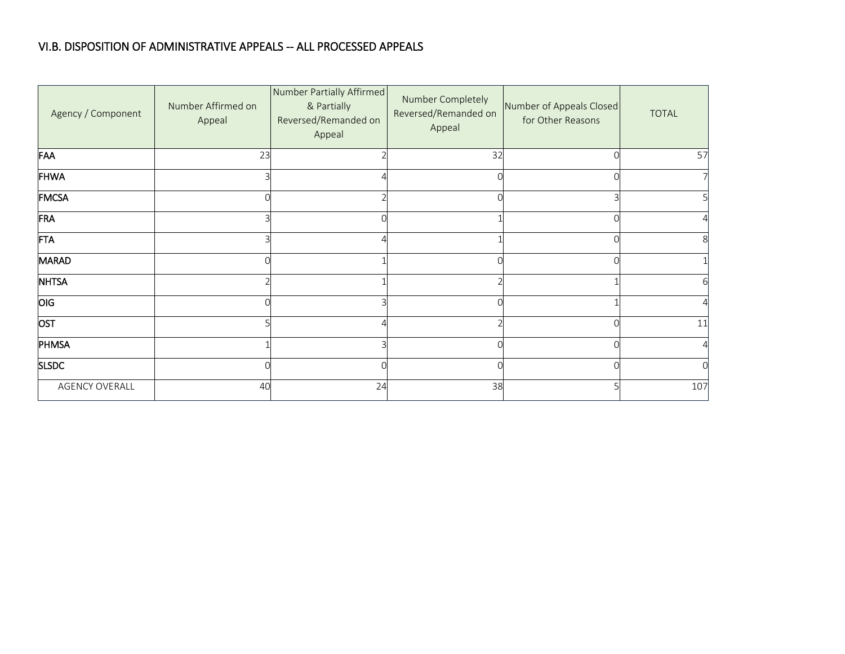#### VI.B. DISPOSITION OF ADMINISTRATIVE APPEALS -- ALL PROCESSED APPEALS

| Agency / Component    | Number Affirmed on<br>Appeal | Number Partially Affirmed<br>& Partially<br>Reversed/Remanded on<br>Appeal | Number Completely<br>Reversed/Remanded on<br>Appeal | Number of Appeals Closed<br>for Other Reasons | <b>TOTAL</b>   |
|-----------------------|------------------------------|----------------------------------------------------------------------------|-----------------------------------------------------|-----------------------------------------------|----------------|
| FAA                   | 23                           |                                                                            | 32                                                  |                                               | 57             |
| <b>FHWA</b>           |                              |                                                                            |                                                     |                                               | 7              |
| <b>FMCSA</b>          |                              |                                                                            |                                                     |                                               | 5              |
| FRA                   |                              |                                                                            |                                                     |                                               |                |
| <b>FTA</b>            |                              |                                                                            |                                                     |                                               | 8              |
| <b>MARAD</b>          |                              |                                                                            |                                                     |                                               |                |
| <b>NHTSA</b>          |                              |                                                                            |                                                     |                                               |                |
| OIG                   |                              |                                                                            |                                                     |                                               |                |
| OST                   |                              |                                                                            |                                                     |                                               | 11             |
| PHMSA                 |                              |                                                                            |                                                     |                                               | $\overline{4}$ |
| <b>SLSDC</b>          |                              |                                                                            |                                                     |                                               |                |
| <b>AGENCY OVERALL</b> | 40                           | 24                                                                         | 38                                                  |                                               | 107            |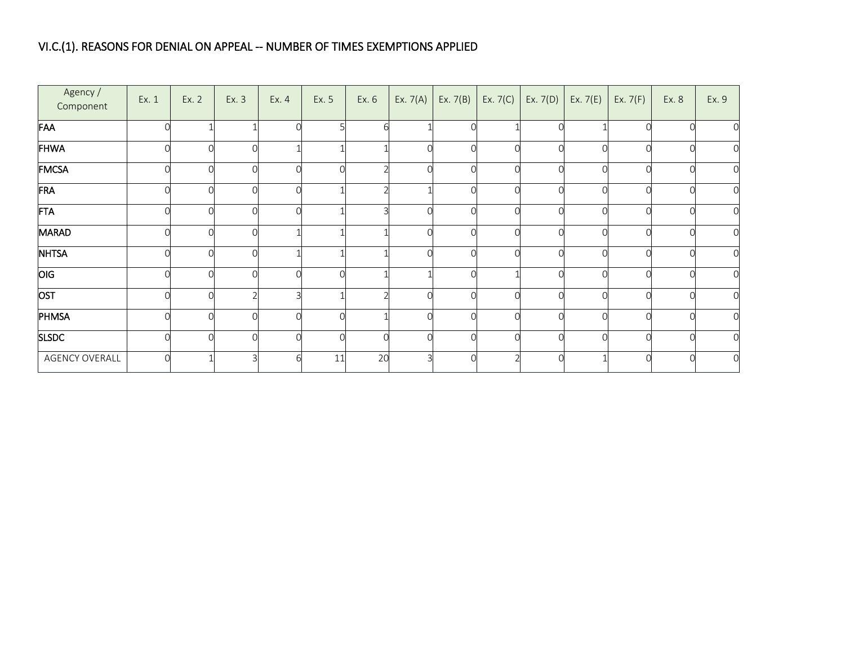## VI.C.(1). REASONS FOR DENIAL ON APPEAL -- NUMBER OF TIMES EXEMPTIONS APPLIED

| Agency /<br>Component | Ex. 1 | Ex. 2    | Ex. 3 | Ex. 4 | Ex. 5 | Ex. 6 | Ex. $7(A)$ | Ex. $7(B)$ | Ex. $7(C)$ | Ex. $7(D)$ | Ex. $7(E)$ | Ex. $7(F)$ | Ex. 8 | Ex. 9            |
|-----------------------|-------|----------|-------|-------|-------|-------|------------|------------|------------|------------|------------|------------|-------|------------------|
| FAA                   |       |          |       |       |       |       |            |            |            |            |            |            |       | $\mathbf 0$      |
| FHWA                  |       | $\Omega$ |       |       |       |       |            |            |            |            | Ω          |            |       | $\mathbf 0$      |
| FMCSA                 |       | $\Omega$ |       |       |       |       |            |            |            |            | Ω          |            |       | $\mathbf 0$      |
| FRA                   |       | U        |       |       |       |       |            |            |            |            | Ω          |            |       | $\mathbf 0$      |
| <b>FTA</b>            |       | U        |       |       |       |       |            |            |            |            | Ω          |            | ∩     | $\mathbf 0$      |
| <b>MARAD</b>          |       | $\Omega$ |       |       |       |       |            |            |            |            | $\Omega$   |            |       | $\overline{0}$   |
| <b>NHTSA</b>          |       | $\Omega$ |       |       |       |       |            |            |            |            | Ω          |            |       | $\boldsymbol{0}$ |
| <b>OIG</b>            |       | ∩        |       |       |       |       |            |            |            |            |            |            |       | $\mathbf 0$      |
| OST                   |       | $\cap$   |       |       |       |       |            |            |            |            | ∩          |            |       | $\mathbf 0$      |
| <b>PHMSA</b>          |       | $\Omega$ |       |       | Ω     |       |            |            |            |            | Ω          |            |       | $\mathbf 0$      |
| <b>SLSDC</b>          |       | $\Omega$ |       |       | C     |       |            |            |            |            |            |            |       | $\mathbf 0$      |
| <b>AGENCY OVERALL</b> |       |          |       |       | 11    | 20    |            |            |            |            |            |            |       | $\mathbf 0$      |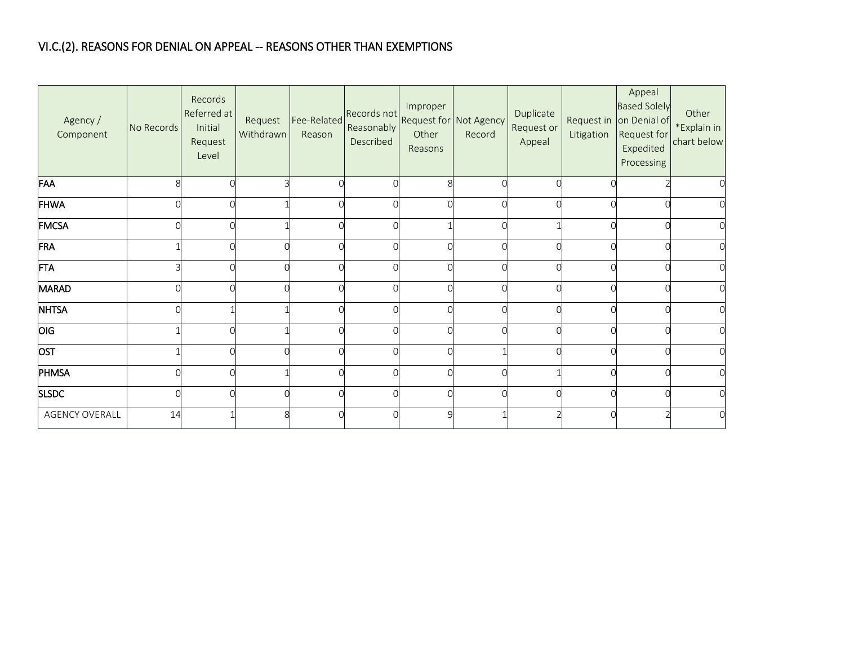### VI.C.(2). REASONS FOR DENIAL ON APPEAL -- REASONS OTHER THAN EXEMPTIONS

| Agency /<br>Component | No Records | Records<br>Referred at<br>Initial<br>Request<br>Level | Request<br>Withdrawn | Fee-Related<br>Reason | Records not<br>Reasonably<br>Described | Improper<br>Other<br>Reasons | Request for Not Agency<br>Record | Duplicate<br>Request or<br>Appeal | Litigation | Appeal<br><b>Based Solely</b><br>Request in on Denial of<br>Request for<br>Expedited<br>Processing | Other<br>*Explain in<br>chart below |
|-----------------------|------------|-------------------------------------------------------|----------------------|-----------------------|----------------------------------------|------------------------------|----------------------------------|-----------------------------------|------------|----------------------------------------------------------------------------------------------------|-------------------------------------|
| FAA                   | 8          |                                                       |                      |                       |                                        |                              |                                  |                                   | U          |                                                                                                    |                                     |
| <b>FHWA</b>           |            |                                                       |                      |                       |                                        |                              |                                  |                                   | ∩          |                                                                                                    |                                     |
| <b>FMCSA</b>          |            | Ⴖ                                                     |                      |                       |                                        |                              |                                  |                                   | 0          |                                                                                                    |                                     |
| FRA                   |            |                                                       |                      |                       |                                        |                              |                                  | $\sqrt{ }$                        | $\Omega$   |                                                                                                    |                                     |
| <b>FTA</b>            |            |                                                       |                      |                       |                                        |                              |                                  |                                   | $\cap$     |                                                                                                    |                                     |
| <b>MARAD</b>          | $\sqrt{ }$ |                                                       |                      |                       |                                        |                              |                                  | $\Omega$                          | $\Omega$   |                                                                                                    |                                     |
| <b>NHTSA</b>          |            |                                                       |                      |                       |                                        |                              |                                  | C                                 | $\Omega$   |                                                                                                    |                                     |
| <b>OIG</b>            |            |                                                       |                      |                       |                                        |                              |                                  |                                   | $\cap$     |                                                                                                    |                                     |
| OST                   |            |                                                       |                      |                       |                                        |                              |                                  |                                   | ∩          |                                                                                                    |                                     |
| PHMSA                 | C          |                                                       |                      |                       |                                        |                              |                                  |                                   | O          |                                                                                                    |                                     |
| <b>SLSDC</b>          |            |                                                       |                      |                       |                                        |                              |                                  |                                   | $\cap$     |                                                                                                    |                                     |
| <b>AGENCY OVERALL</b> | 14         |                                                       | $\mathsf{R}$         |                       |                                        |                              |                                  |                                   | $\Omega$   |                                                                                                    |                                     |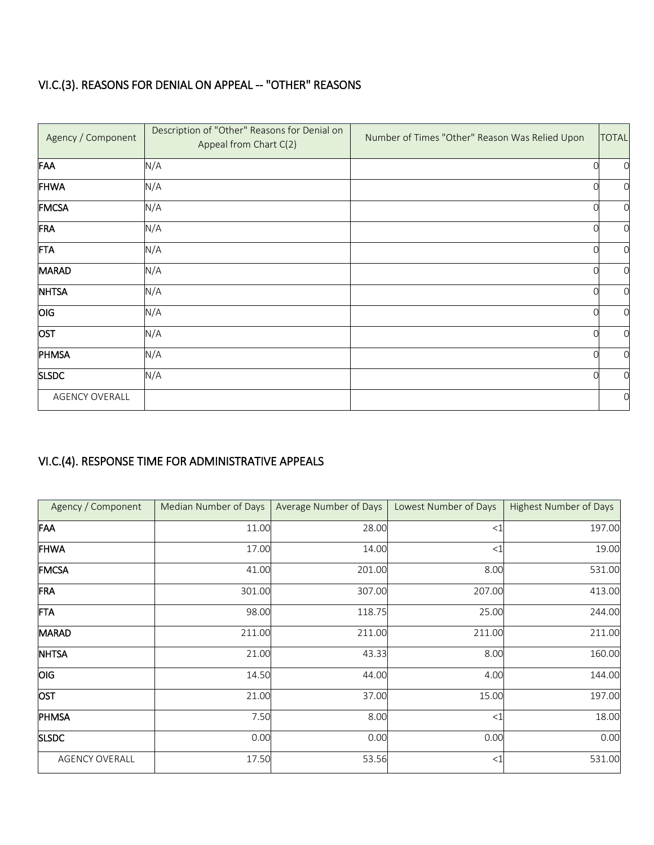## VI.C.(3). REASONS FOR DENIAL ON APPEAL -- "OTHER" REASONS

| Agency / Component    | Description of "Other" Reasons for Denial on<br>Appeal from Chart C(2) | Number of Times "Other" Reason Was Relied Upon | <b>TOTAL</b> |
|-----------------------|------------------------------------------------------------------------|------------------------------------------------|--------------|
| FAA                   | N/A                                                                    |                                                | $\Omega$     |
| FHWA                  | N/A                                                                    |                                                | O            |
| <b>FMCSA</b>          | N/A                                                                    |                                                | O            |
| FRA                   | N/A                                                                    |                                                | 0            |
| <b>FTA</b>            | N/A                                                                    |                                                | $\Omega$     |
| MARAD                 | N/A                                                                    |                                                | $\Omega$     |
| <b>NHTSA</b>          | N/A                                                                    |                                                | O            |
| OIG                   | N/A                                                                    |                                                | $\Omega$     |
| OST                   | N/A                                                                    |                                                | $\Omega$     |
| PHMSA                 | N/A                                                                    |                                                | $\Omega$     |
| <b>SLSDC</b>          | N/A                                                                    |                                                | O            |
| <b>AGENCY OVERALL</b> |                                                                        |                                                | $\Omega$     |

## VI.C.(4). RESPONSE TIME FOR ADMINISTRATIVE APPEALS

| Agency / Component    | Median Number of Days | Average Number of Days | Lowest Number of Days | <b>Highest Number of Days</b> |
|-----------------------|-----------------------|------------------------|-----------------------|-------------------------------|
| FAA                   | 11.00                 | 28.00                  | $<$ 1                 | 197.00                        |
| FHWA                  | 17.00                 | 14.00                  | $<$ 1                 | 19.00                         |
| <b>FMCSA</b>          | 41.00                 | 201.00                 | 8.00                  | 531.00                        |
| FRA                   | 301.00                | 307.00                 | 207.00                | 413.00                        |
| FTA                   | 98.00                 | 118.75                 | 25.00                 | 244.00                        |
| MARAD                 | 211.00                | 211.00                 | 211.00                | 211.00                        |
| <b>NHTSA</b>          | 21.00                 | 43.33                  | 8.00                  | 160.00                        |
| OIG                   | 14.50                 | 44.00                  | 4.00                  | 144.00                        |
| OST                   | 21.00                 | 37.00                  | 15.00                 | 197.00                        |
| PHMSA                 | 7.50                  | 8.00                   | $<$ 1                 | 18.00                         |
| <b>SLSDC</b>          | 0.00                  | 0.00                   | 0.00                  | 0.00                          |
| <b>AGENCY OVERALL</b> | 17.50                 | 53.56                  | $<$ 1                 | 531.00                        |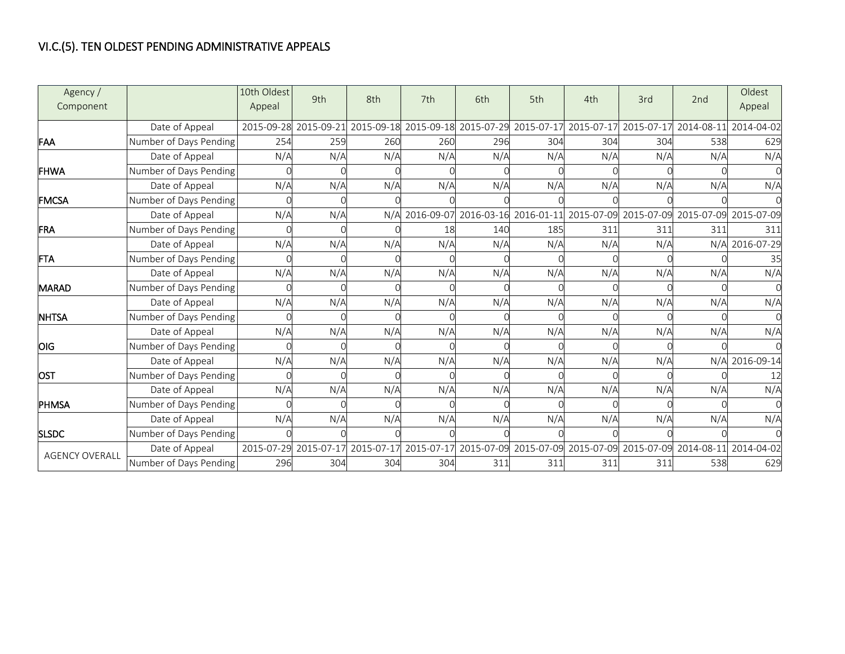## VI.C.(5). TEN OLDEST PENDING ADMINISTRATIVE APPEALS

| Agency /<br>Component |                        | 10th Oldest<br>Appeal | 9th        | 8th        | 7th        | 6th        | 5th                                                    | 4th                   | 3rd        | 2nd                   | Oldest<br>Appeal |
|-----------------------|------------------------|-----------------------|------------|------------|------------|------------|--------------------------------------------------------|-----------------------|------------|-----------------------|------------------|
|                       | Date of Appeal         | 2015-09-28            | 2015-09-21 |            |            |            | 2015-09-18 2015-09-18 2015-07-29 2015-07-17 2015-07-17 |                       | 2015-07-17 | 2014-08-11            | 2014-04-02       |
| <b>FAA</b>            | Number of Days Pending | 254                   | 259        | 260        | 260        | 296        | 304                                                    | 304                   | 304        | 538                   | 629              |
|                       | Date of Appeal         | N/A                   | N/A        | N/A        | N/A        | N/A        | N/A                                                    | N/A                   | N/A        | N/A                   | N/A              |
| <b>FHWA</b>           | Number of Days Pending |                       |            |            |            |            |                                                        |                       |            |                       |                  |
|                       | Date of Appeal         | N/A                   | N/A        | N/A        | N/A        | N/A        | N/A                                                    | N/A                   | N/A        | N/A                   | N/A              |
| <b>IFMCSA</b>         | Number of Days Pending |                       |            |            |            |            |                                                        |                       |            |                       |                  |
|                       | Date of Appeal         | N/A                   | N/A        | N/A        | 2016-09-07 | 2016-03-16 |                                                        | 2016-01-11 2015-07-09 |            | 2015-07-09 2015-07-09 | 2015-07-09       |
| <b>FRA</b>            | Number of Days Pending |                       |            |            | 18         | 140        | 185                                                    | 311                   | 311        | 311                   | 311              |
|                       | Date of Appeal         | N/A                   | N/A        | N/A        | N/A        | N/A        | N/A                                                    | N/A                   | N/A        | N/A                   | 2016-07-29       |
| <b>FTA</b>            | Number of Days Pending |                       |            |            |            |            |                                                        |                       |            |                       | 35               |
|                       | Date of Appeal         | N/A                   | N/A        | N/A        | N/A        | N/A        | N/A                                                    | N/A                   | N/A        | N/A                   | N/A              |
| <b>MARAD</b>          | Number of Days Pending |                       |            |            |            |            |                                                        |                       |            |                       |                  |
|                       | Date of Appeal         | N/A                   | N/A        | N/A        | N/A        | N/A        | N/A                                                    | N/A                   | N/A        | N/A                   | N/A              |
| <b>NHTSA</b>          | Number of Days Pending |                       |            |            |            |            |                                                        |                       |            |                       |                  |
|                       | Date of Appeal         | N/A                   | N/A        | N/A        | N/A        | N/A        | N/A                                                    | N/A                   | N/A        | N/A                   | N/A              |
| <b>OIG</b>            | Number of Days Pending |                       |            |            |            |            |                                                        |                       |            |                       |                  |
|                       | Date of Appeal         | N/A                   | N/A        | N/A        | N/A        | N/A        | N/A                                                    | N/A                   | N/A        |                       | N/A 2016-09-14   |
| <b>OST</b>            | Number of Days Pending |                       |            |            |            |            |                                                        |                       |            |                       | 12               |
|                       | Date of Appeal         | N/A                   | N/A        | N/A        | N/A        | N/A        | N/A                                                    | N/A                   | N/A        | N/A                   | N/A              |
| <b>PHMSA</b>          | Number of Days Pending |                       |            |            |            |            |                                                        |                       |            |                       |                  |
|                       | Date of Appeal         | N/A                   | N/A        | N/A        | N/A        | N/A        | N/A                                                    | N/A                   | N/A        | N/A                   | N/A              |
| <b>SLSDC</b>          | Number of Days Pending |                       |            |            |            |            |                                                        |                       |            |                       |                  |
| <b>AGENCY OVERALL</b> | Date of Appeal         | 2015-07-29            | 2015-07-17 | 2015-07-17 | 2015-07-17 |            | 2015-07-09 2015-07-09 2015-07-09                       |                       | 2015-07-09 | 2014-08-11            | 2014-04-02       |
|                       | Number of Days Pending | 296                   | 304        | 304        | 304        | 311        | 311                                                    | 311                   | 311        | 538                   | 629              |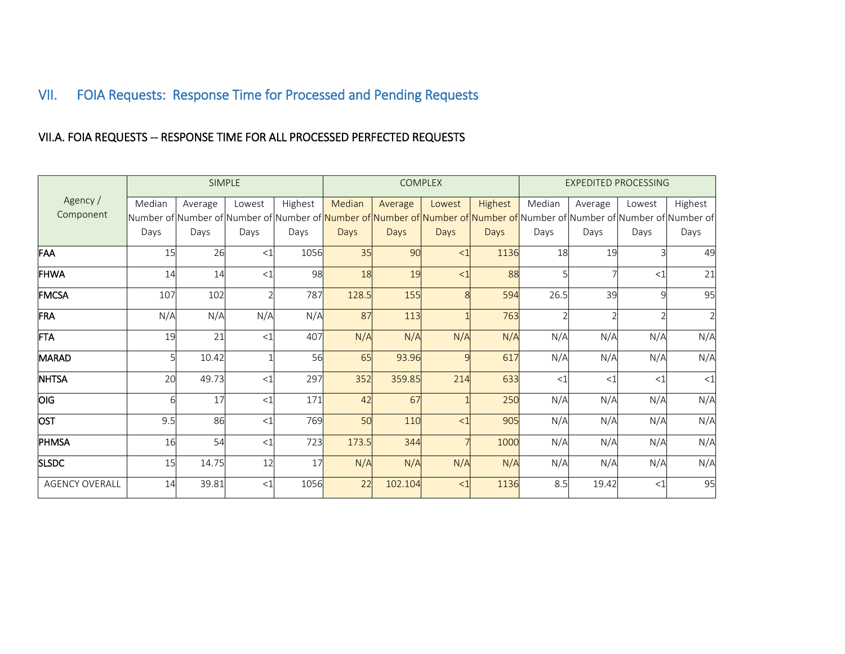## VII. FOIA Requests: Response Time for Processed and Pending Requests

### VII.A. FOIA REQUESTS -- RESPONSE TIME FOR ALL PROCESSED PERFECTED REQUESTS

<span id="page-17-0"></span>

|                       |        |         | SIMPLE |         |        |             | <b>COMPLEX</b> |         | <b>EXPEDITED PROCESSING</b> |         |        |                                                                                                                                        |  |
|-----------------------|--------|---------|--------|---------|--------|-------------|----------------|---------|-----------------------------|---------|--------|----------------------------------------------------------------------------------------------------------------------------------------|--|
| Agency /              | Median | Average | Lowest | Highest | Median | Average     | Lowest         | Highest | Median                      | Average | Lowest | Highest                                                                                                                                |  |
| Component             |        |         |        |         |        |             |                |         |                             |         |        | Number of Number of Number of Number of <mark> Number of Number of Number of Number of</mark>  Number of Number of Number of Number of |  |
|                       | Days   | Days    | Days   | Days    | Days   | <b>Days</b> | <b>Days</b>    | Days    | Days                        | Days    | Days   | Days                                                                                                                                   |  |
| FAA                   | 15     | 26      | <1     | 1056    | 35     | 90          | <1             | 1136    | 18                          | 19      |        | 49                                                                                                                                     |  |
| <b>FHWA</b>           | 14     | 14      | <1     | 98      | 18     | 19          | <1             | 88      |                             |         | $<$ 1  | 21                                                                                                                                     |  |
| FMCSA                 | 107    | 102     |        | 787     | 128.5  | 155         |                | 594     | 26.5                        | 39      |        | 95                                                                                                                                     |  |
| FRA                   | N/A    | N/A     | N/A    | N/A     | 87     | 113         |                | 763     |                             |         |        | $\overline{2}$                                                                                                                         |  |
| <b>FTA</b>            | 19     | 21      | <1     | 407     | N/A    | N/A         | N/A            | N/A     | N/A                         | N/A     | N/A    | N/A                                                                                                                                    |  |
| <b>MARAD</b>          |        | 10.42   |        | 56      | 65     | 93.96       | $\Omega$       | 617     | N/A                         | N/A     | N/A    | N/A                                                                                                                                    |  |
| <b>NHTSA</b>          | 20     | 49.73   | <1     | 297     | 352    | 359.85      | 214            | 633     | $<$ 1                       | <1      | <1     | ${<}1$                                                                                                                                 |  |
| <b>OIG</b>            |        | 17      | <1     | 171     | 42     | 67          |                | 250     | N/A                         | N/A     | N/A    | N/A                                                                                                                                    |  |
| <b>OST</b>            | 9.5    | 86      | <1     | 769     | 50     | 110         | <1             | 905     | N/A                         | N/A     | N/A    | N/A                                                                                                                                    |  |
| PHMSA                 | 16     | 54      | <1     | 723     | 173.5  | 344         |                | 1000    | N/A                         | N/A     | N/A    | N/A                                                                                                                                    |  |
| <b>SLSDC</b>          | 15     | 14.75   | 12     | 17      | N/A    | N/A         | N/A            | N/A     | N/A                         | N/A     | N/A    | N/A                                                                                                                                    |  |
| <b>AGENCY OVERALL</b> | 14     | 39.81   | <1     | 1056    | 22     | 102.104     | $\lt$ 1        | 1136    | 8.5                         | 19.42   | $<$ 1  | 95                                                                                                                                     |  |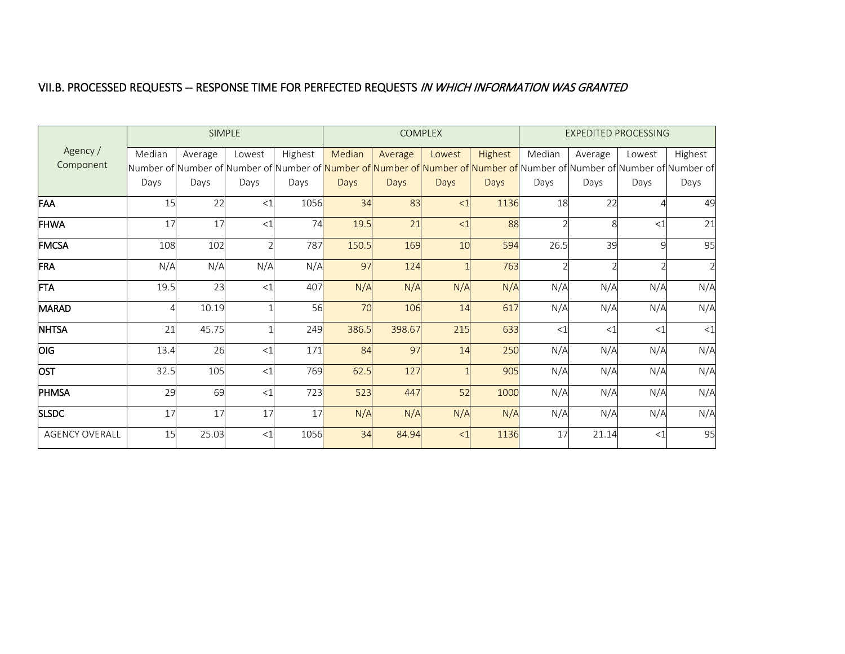#### VII.B. PROCESSED REQUESTS -- RESPONSE TIME FOR PERFECTED REQUESTS IN WHICH INFORMATION WAS GRANTED

|                       |        |         | SIMPLE |         |        |         | <b>COMPLEX</b> |         | <b>EXPEDITED PROCESSING</b> |         |        |                                                                                                                                      |
|-----------------------|--------|---------|--------|---------|--------|---------|----------------|---------|-----------------------------|---------|--------|--------------------------------------------------------------------------------------------------------------------------------------|
| Agency /              | Median | Average | Lowest | Highest | Median | Average | Lowest         | Highest | Median                      | Average | Lowest | Highest                                                                                                                              |
| Component             |        |         |        |         |        |         |                |         |                             |         |        | Number of Number of Number of Number of <mark>Number of Number of Number of Number of</mark> Number of Number of Number of Number of |
|                       | Days   | Days    | Days   | Days    | Days   | Days    | Days           | Days    | Days                        | Days    | Days   | Days                                                                                                                                 |
| FAA                   | 15     | 22      | <1     | 1056    | 34     | 83      | <1             | 1136    | 18                          | 22      |        | 49                                                                                                                                   |
| <b>FHWA</b>           | 17     | 17      | <1     | 74      | 19.5   | 21      | <1             | 88      |                             |         | $<$ 1  | 21                                                                                                                                   |
| <b>FMCSA</b>          | 108    | 102     |        | 787     | 150.5  | 169     | 10             | 594     | 26.5                        | 39      |        | 95                                                                                                                                   |
| FRA                   | N/A    | N/A     | N/A    | N/A     | 97     | 124     |                | 763     |                             |         |        | $\overline{2}$                                                                                                                       |
| <b>FTA</b>            | 19.5   | 23      | <1     | 407     | N/A    | N/A     | N/A            | N/A     | N/A                         | N/A     | N/A    | N/A                                                                                                                                  |
| <b>MARAD</b>          |        | 10.19   |        | 56      | 70     | 106     | 14             | 617     | N/A                         | N/A     | N/A    | N/A                                                                                                                                  |
| <b>NHTSA</b>          | 21     | 45.75   |        | 249     | 386.5  | 398.67  | 215            | 633     | $<$ 1                       | <1      | <1     | <1                                                                                                                                   |
| <b>OIG</b>            | 13.4   | 26      | <1     | 171     | 84     | 97      | 14             | 250     | N/A                         | N/A     | N/A    | N/A                                                                                                                                  |
| OST                   | 32.5   | 105     | <1     | 769     | 62.5   | 127     |                | 905     | N/A                         | N/A     | N/A    | N/A                                                                                                                                  |
| PHMSA                 | 29     | 69      | <1     | 723     | 523    | 447     | 52             | 1000    | N/A                         | N/A     | N/A    | N/A                                                                                                                                  |
| <b>SLSDC</b>          | 17     | 17      | 17     | 17      | N/A    | N/A     | N/A            | N/A     | N/A                         | N/A     | N/A    | N/A                                                                                                                                  |
| <b>AGENCY OVERALL</b> | 15     | 25.03   | <1     | 1056    | 34     | 84.94   | <1             | 1136    | 17                          | 21.14   | <1     | 95                                                                                                                                   |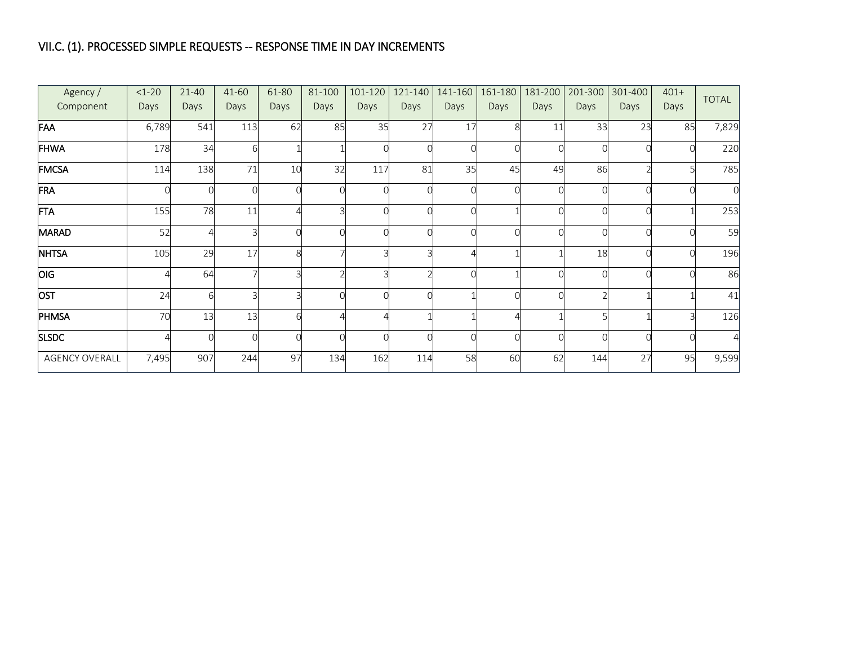## VII.C. (1). PROCESSED SIMPLE REQUESTS -- RESPONSE TIME IN DAY INCREMENTS

| Agency /<br>Component | $1-20$<br>Days | $21 - 40$<br>Days | 41-60<br>Days | 61-80<br>Days | 81-100<br>Days | 101-120<br>Days | 121-140<br>Days | 141-160<br>Days | 161-180<br>Days | 181-200<br>Days | 201-300<br>Days | 301-400<br>Days | $401+$<br>Days | <b>TOTAL</b> |
|-----------------------|----------------|-------------------|---------------|---------------|----------------|-----------------|-----------------|-----------------|-----------------|-----------------|-----------------|-----------------|----------------|--------------|
| FAA                   | 6,789          | 541               | 113           | 62            | 85             | 35              | 27              | 17              |                 | 11              | 33              | 23              | 85             | 7,829        |
| <b>FHWA</b>           | 178            | 34                | 6             |               |                |                 |                 |                 |                 |                 |                 |                 |                | 220          |
| <b>FMCSA</b>          | 114            | 138               | 71            | 10            | 32             | 117             | 81              | 35              | 45              | 49              | 86              |                 |                | 785          |
| FRA                   |                | $\Omega$          |               |               | $\Omega$       |                 |                 |                 |                 |                 |                 |                 |                | $\Omega$     |
| <b>FTA</b>            | 155            | 78                | 11            |               |                |                 |                 |                 |                 |                 |                 |                 |                | 253          |
| <b>MARAD</b>          | 52             | 4                 |               |               | Ω              |                 |                 |                 |                 |                 |                 |                 |                | 59           |
| <b>NHTSA</b>          | 105            | 29                | 17            | ଯ             |                |                 |                 |                 |                 |                 | 18              |                 |                | 196          |
| <b>OIG</b>            |                | 64                |               |               |                |                 |                 |                 |                 |                 |                 |                 |                | 86           |
| <b>OST</b>            | 24             | 6                 |               |               | O              |                 |                 |                 |                 |                 |                 |                 |                | 41           |
| PHMSA                 | 70             | 13                | 13            |               |                |                 |                 |                 |                 |                 |                 |                 |                | 126          |
| <b>SLSDC</b>          |                | $\Omega$          | C             |               | 0              |                 |                 |                 |                 |                 |                 |                 |                | Д            |
| <b>AGENCY OVERALL</b> | 7,495          | 907               | 244           | 97            | 134            | 162             | 114             | 58              | 60              | 62              | 144             | 27              | 95             | 9,599        |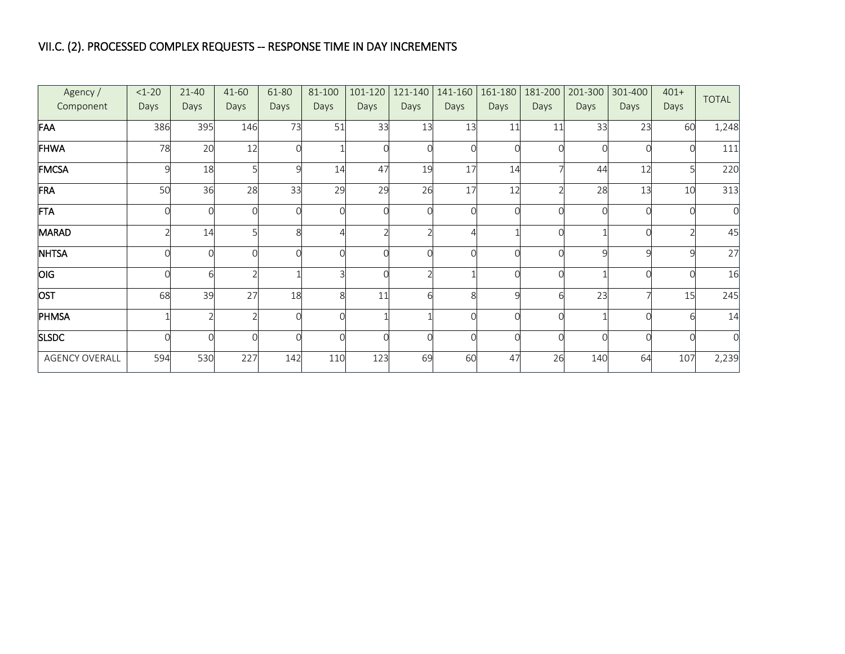## VII.C. (2). PROCESSED COMPLEX REQUESTS -- RESPONSE TIME IN DAY INCREMENTS

| Agency /<br>Component | $1 - 20$<br>Days | $21 - 40$<br>Days | 41-60<br>Days | 61-80<br>Days | 81-100<br>Days | 101-120<br>Days | 121-140<br>Days | 141-160<br>Days       | 161-180<br>Days | 181-200<br>Days | 201-300<br>Days | 301-400<br>Days | $401+$<br>Days | <b>TOTAL</b> |
|-----------------------|------------------|-------------------|---------------|---------------|----------------|-----------------|-----------------|-----------------------|-----------------|-----------------|-----------------|-----------------|----------------|--------------|
| FAA                   | 386              | 395               | 146           | 73            | 51             | 33              | 13              | 13                    | 11              | 11              | 33              | 23              | 60             | 1,248        |
| <b>FHWA</b>           | 78               | 20                | 12            |               |                |                 |                 |                       |                 |                 |                 |                 |                | 111          |
| <b>FMCSA</b>          |                  | 18                |               |               | 14             | 47              | 19              | 17                    | 14              |                 | 44              | 12              |                | 220          |
| FRA                   | 50               | 36                | 28            | 33            | 29             | 29              | 26              | 17                    | 12              |                 | 28              | 13              | 10             | 313          |
| <b>FTA</b>            |                  | Ω                 |               |               | $\Omega$       |                 |                 |                       |                 |                 |                 |                 |                | $\Omega$     |
| <b>MARAD</b>          |                  | 14                |               |               |                |                 |                 |                       |                 |                 |                 |                 |                | 45           |
| <b>NHTSA</b>          |                  | $\Omega$          |               |               | $\Omega$       |                 |                 |                       |                 |                 | Q               |                 | $\mathsf{Q}$   | 27           |
| <b>OIG</b>            |                  | 6                 |               |               |                |                 |                 |                       |                 |                 |                 |                 |                | 16           |
| <b>OST</b>            | 68               | 39                | 27            | 18            | 8              | 11              |                 | $\mathsf{\mathsf{R}}$ | $\Omega$        |                 | 23              |                 | 15             | 245          |
| PHMSA                 |                  |                   |               |               | O              |                 |                 |                       |                 |                 |                 |                 | ĥ              | 14           |
| <b>SLSDC</b>          |                  | $\Omega$          |               |               | 0              |                 |                 |                       |                 |                 |                 |                 |                |              |
| <b>AGENCY OVERALL</b> | 594              | 530               | 227           | 142           | 110            | 123             | 69              | 60                    | 47              | 26              | 140             | 64              | 107            | 2,239        |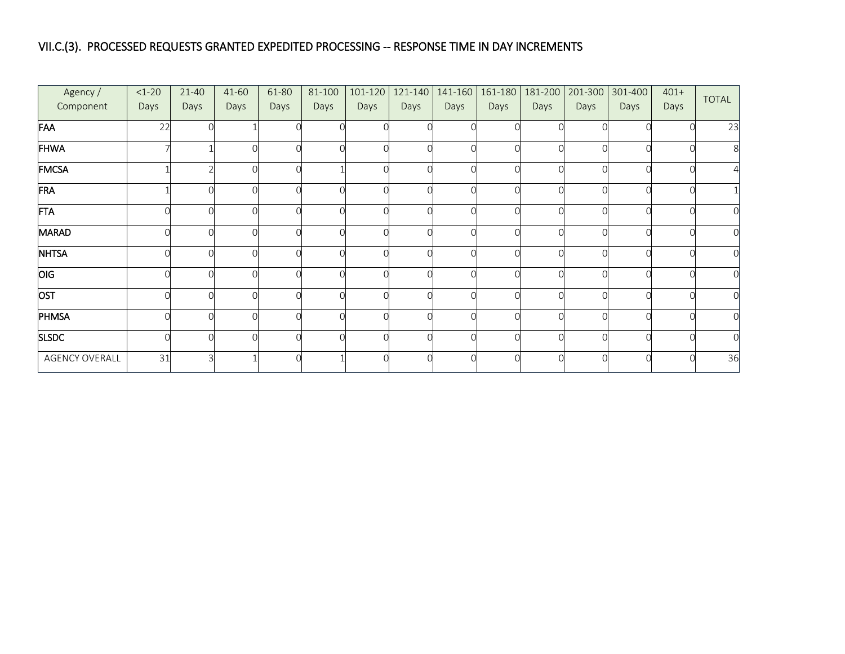#### VII.C.(3). PROCESSED REQUESTS GRANTED EXPEDITED PROCESSING -- RESPONSE TIME IN DAY INCREMENTS

| Agency /<br>Component | $<1-20$<br>Days | 21-40<br>Days | 41-60<br>Days | 61-80<br>Days | 81-100<br>Days | 101-120<br>Days | 121-140<br>Days | Days   | 141-160 161-180<br>Days | 181-200<br>Days | Days | 201-300 301-400<br>Days | $401+$<br>Days | TOTAL |
|-----------------------|-----------------|---------------|---------------|---------------|----------------|-----------------|-----------------|--------|-------------------------|-----------------|------|-------------------------|----------------|-------|
| FAA                   | 22              |               |               |               |                |                 |                 |        |                         |                 |      |                         |                | 23    |
| <b>FHWA</b>           |                 |               |               |               |                |                 |                 |        |                         |                 |      |                         |                | 8     |
| FMCSA                 |                 |               |               |               |                |                 |                 | $\cap$ |                         |                 |      |                         |                |       |
| FRA                   |                 |               |               |               |                |                 |                 |        |                         |                 |      |                         |                |       |
| FTA                   |                 |               |               |               |                |                 |                 | $\cap$ |                         |                 |      |                         | $\cap$         | 0l    |
| <b>MARAD</b>          |                 |               |               |               |                |                 |                 | Ω      |                         |                 |      |                         |                | 0l    |
| <b>NHTSA</b>          |                 |               |               |               |                |                 |                 |        |                         |                 |      |                         |                | 0l    |
| <b>OIG</b>            |                 |               |               |               |                |                 |                 |        |                         |                 |      |                         |                |       |
| OST                   |                 |               |               |               | $\cap$         |                 |                 |        |                         |                 |      |                         |                | 0l    |
| PHMSA                 |                 |               |               |               |                |                 |                 |        |                         |                 |      |                         |                |       |
| <b>SLSDC</b>          |                 | ∩             |               |               |                |                 |                 | Ω      |                         |                 |      |                         |                |       |
| AGENCY OVERALL        | 31              |               |               |               |                |                 |                 |        |                         |                 |      |                         |                | 36    |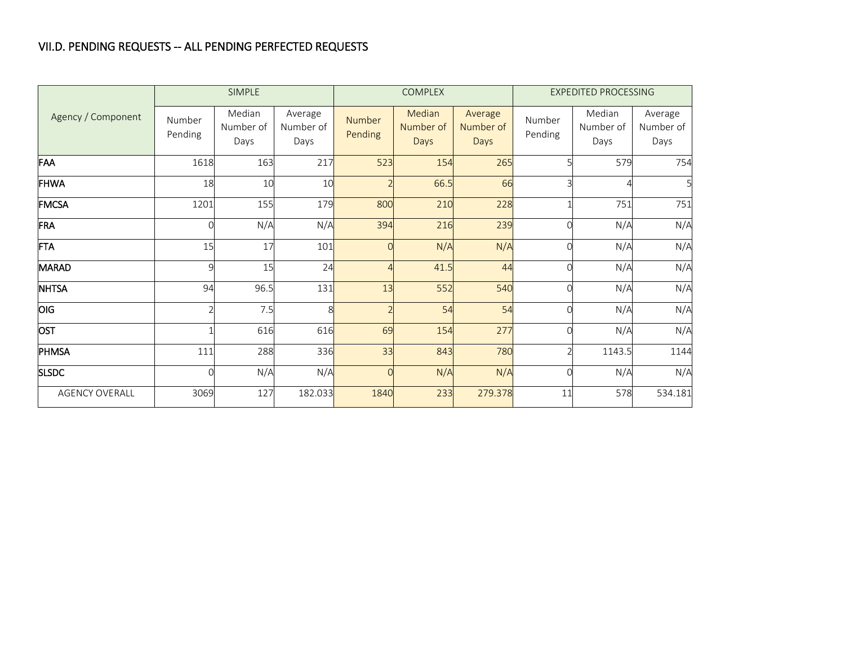### VII.D. PENDING REQUESTS -- ALL PENDING PERFECTED REQUESTS

|                       |                   | <b>SIMPLE</b>               |                              |                   | <b>COMPLEX</b>              |                              |                   | <b>EXPEDITED PROCESSING</b> |                              |
|-----------------------|-------------------|-----------------------------|------------------------------|-------------------|-----------------------------|------------------------------|-------------------|-----------------------------|------------------------------|
| Agency / Component    | Number<br>Pending | Median<br>Number of<br>Days | Average<br>Number of<br>Days | Number<br>Pending | Median<br>Number of<br>Days | Average<br>Number of<br>Days | Number<br>Pending | Median<br>Number of<br>Days | Average<br>Number of<br>Days |
| FAA                   | 1618              | 163                         | 217                          | 523               | 154                         | 265                          |                   | 579                         | 754                          |
| <b>FHWA</b>           | 18                | 10                          | 10                           |                   | 66.5                        | 66                           |                   |                             |                              |
| <b>FMCSA</b>          | 1201              | 155                         | 179                          | 800               | 210                         | 228                          |                   | 751                         | 751                          |
| FRA                   |                   | N/A                         | N/A                          | 394               | 216                         | 239                          |                   | N/A                         | N/A                          |
| <b>FTA</b>            | 15                | 17                          | 101                          |                   | N/A                         | N/A                          |                   | N/A                         | N/A                          |
| <b>MARAD</b>          | $\Omega$          | 15                          | 24                           |                   | 41.5                        | 44                           |                   | N/A                         | N/A                          |
| <b>NHTSA</b>          | 94                | 96.5                        | 131                          | 13                | 552                         | 540                          |                   | N/A                         | N/A                          |
| OIG                   |                   | 7.5                         | Ŕ                            |                   | 54                          | 54                           |                   | N/A                         | N/A                          |
| <b>OST</b>            |                   | 616                         | 616                          | 69                | 154                         | 277                          |                   | N/A                         | N/A                          |
| PHMSA                 | 111               | 288                         | 336                          | 33                | 843                         | 780                          |                   | 1143.5                      | 1144                         |
| <b>SLSDC</b>          |                   | N/A                         | N/A                          |                   | N/A                         | N/A                          |                   | N/A                         | N/A                          |
| <b>AGENCY OVERALL</b> | 3069              | 127                         | 182.033                      | 1840              | 233                         | 279.378                      | 11                | 578                         | 534.181                      |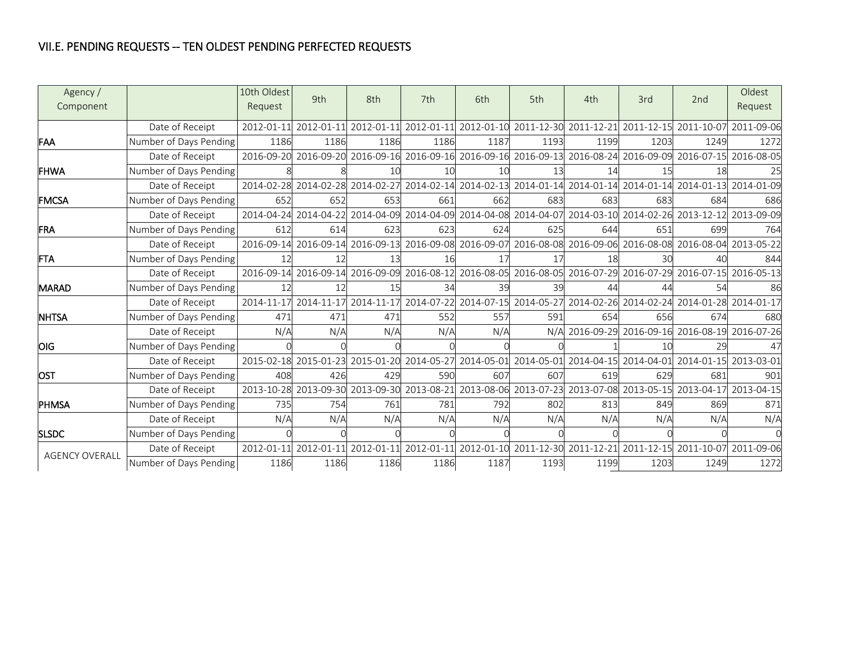### VII.E. PENDING REQUESTS -- TEN OLDEST PENDING PERFECTED REQUESTS

| Agency /<br>Component |                        | 10th Oldest<br>Request | 9th                              | 8th        | 7th        | 6th  | 5th                                                                                     | 4th        | 3rd        | 2nd        | Oldest<br>Request                                                            |
|-----------------------|------------------------|------------------------|----------------------------------|------------|------------|------|-----------------------------------------------------------------------------------------|------------|------------|------------|------------------------------------------------------------------------------|
|                       | Date of Receipt        | 2012-01-11             | 2012-01-11 2012-01-11            |            | 2012-01-11 |      | 2012-01-10 2011-12-30 2011-12-21 2011-12-15                                             |            |            | 2011-10-07 | 2011-09-06                                                                   |
| FAA                   | Number of Days Pending | 1186                   | 1186                             | 1186       | 1186       | 1187 | 1193                                                                                    | 1199       | 1203       | 1249       | 1272                                                                         |
|                       | Date of Receipt        |                        |                                  |            |            |      | 2016-09-20 2016-09-20 2016-09-16 2016-09-16 2016-09-16 2016-09-13 2016-08-24 2016-09-09 |            |            |            | 2016-07-15 2016-08-05                                                        |
| <b>IFHWA</b>          | Number of Days Pending |                        |                                  | 10         | 10         | 10   | 13                                                                                      | 14         | 15         | 18         | 25                                                                           |
|                       | Date of Receipt        |                        | 2014-02-28 2014-02-28            | 2014-02-27 |            |      | 2014-02-14 2014-02-13 2014-01-14 2014-01-14 2014-01-14 2014-01-13                       |            |            |            | 2014-01-09                                                                   |
| <b>FMCSA</b>          | Number of Days Pending | 652                    | 652                              | 653        | 661        | 662  | 683                                                                                     | 683        | 683        | 684        | 686                                                                          |
|                       | Date of Receipt        |                        | 2014-04-24 2014-04-22 2014-04-09 |            |            |      |                                                                                         |            |            |            | 2014-04-09 2014-04-08 2014-04-07 2014-03-10 2014-02-26 2013-12-12 2013-09-09 |
| <b>FRA</b>            | Number of Days Pending | 612                    | 614                              | 623        | 623        | 624  | 625                                                                                     | 644        | 651        | 699        | 764                                                                          |
|                       | Date of Receipt        |                        | 2016-09-14 2016-09-14 2016-09-13 |            |            |      |                                                                                         |            |            |            | 2016-09-08 2016-09-07 2016-08-08 2016-09-06 2016-08-08 2016-08-04 2013-05-22 |
| <b>FTA</b>            | Number of Days Pending | 12                     | 12                               | 13         | 16         | 17   | 17                                                                                      | 18         | 30         |            | 844                                                                          |
|                       | Date of Receipt        |                        | 2016-09-14 2016-09-14 2016-09-09 |            |            |      |                                                                                         |            |            |            | 2016-08-12 2016-08-05 2016-08-05 2016-07-29 2016-07-29 2016-07-15 2016-05-13 |
| <b>MARAD</b>          | Number of Days Pending | 12                     | 12                               |            | 34         | 39   | 39                                                                                      |            |            |            | 86                                                                           |
|                       | Date of Receipt        |                        | 2014-11-17 2014-11-17 2014-11-17 |            |            |      |                                                                                         |            |            |            | 2014-07-22 2014-07-15 2014-05-27 2014-02-26 2014-02-24 2014-01-28 2014-01-17 |
| <b>NHTSA</b>          | Number of Days Pending | 471                    | 471                              | 471        | 552        | 557  | 591                                                                                     | 654        | 656        | 674        | 680                                                                          |
|                       | Date of Receipt        | N/A                    | N/A                              | N/A        | N/A        | N/A  | N/A                                                                                     | 2016-09-29 | 2016-09-16 |            | 2016-08-19 2016-07-26                                                        |
| <b>OIG</b>            | Number of Days Pending |                        |                                  |            |            |      |                                                                                         |            | 10         | 29         | 47                                                                           |
|                       | Date of Receipt        |                        | 2015-02-18 2015-01-23 2015-01-20 |            | 2014-05-27 |      | 2014-05-01 2014-05-01 2014-04-15 2014-04-01                                             |            |            | 2014-01-15 | 2013-03-01                                                                   |
| <b>JOST</b>           | Number of Days Pending | 408                    | 426                              | 429        | 590        | 607  | 607                                                                                     | 619        | 629        | 681        | 901                                                                          |
|                       | Date of Receipt        |                        | 2013-10-28 2013-09-30 2013-09-30 |            | 2013-08-21 |      |                                                                                         |            |            |            | 2013-08-06 2013-07-23 2013-07-08 2013-05-15 2013-04-17 2013-04-15            |
| <b>PHMSA</b>          | Number of Days Pending | 735                    | 754                              | 761        | 781        | 792  | 802                                                                                     | 813        | 849        | 869        | 871                                                                          |
|                       | Date of Receipt        | N/A                    | N/A                              | N/A        | N/A        | N/A  | N/A                                                                                     | N/A        | N/A        | N/A        | N/A                                                                          |
| <b>SLSDC</b>          | Number of Days Pending |                        |                                  |            |            |      |                                                                                         |            |            |            |                                                                              |
| <b>AGENCY OVERALL</b> | Date of Receipt        |                        | 2012-01-11 2012-01-11            | 2012-01-11 | 2012-01-11 |      | 2012-01-10 2011-12-30 2011-12-21 2011-12-15                                             |            |            | 2011-10-07 | 2011-09-06                                                                   |
|                       | Number of Days Pending | 1186                   | 1186                             | 1186       | 1186       | 1187 | 1193                                                                                    | 1199       | 1203       | 1249       | 1272                                                                         |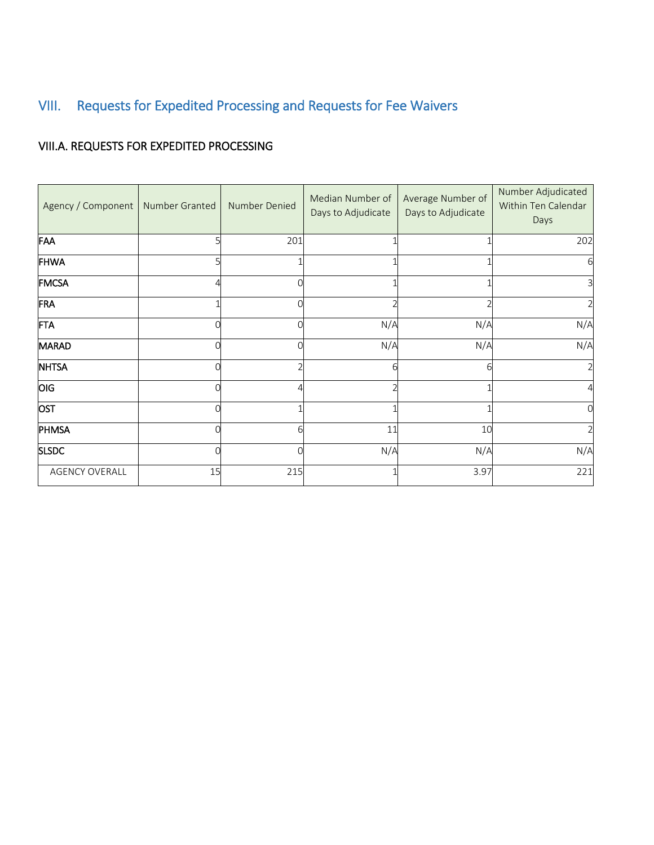# <span id="page-24-0"></span>VIII. Requests for Expedited Processing and Requests for Fee Waivers

### VIII.A. REQUESTS FOR EXPEDITED PROCESSING

| Agency / Component   Number Granted |          | Number Denied | Median Number of<br>Days to Adjudicate | Average Number of<br>Days to Adjudicate | Number Adjudicated<br>Within Ten Calendar<br>Days |
|-------------------------------------|----------|---------------|----------------------------------------|-----------------------------------------|---------------------------------------------------|
| FAA                                 | כ        | 201           |                                        |                                         | 202                                               |
| <b>FHWA</b>                         | 5        |               |                                        |                                         | 6                                                 |
| FMCSA                               | Λ        |               |                                        |                                         | 3                                                 |
| FRA                                 |          |               |                                        |                                         | $\overline{2}$                                    |
| <b>FTA</b>                          | O        |               | N/A                                    | N/A                                     | N/A                                               |
| <b>MARAD</b>                        | $\Omega$ |               | N/A                                    | N/A                                     | N/A                                               |
| <b>NHTSA</b>                        | 0        |               |                                        | 6                                       |                                                   |
| OIG                                 | $\Omega$ |               |                                        |                                         |                                                   |
| OST                                 | 0        |               |                                        |                                         | $\Omega$                                          |
| PHMSA                               | O        |               | 11                                     | 10                                      |                                                   |
| <b>SLSDC</b>                        | $\Omega$ |               | N/A                                    | N/A                                     | N/A                                               |
| AGENCY OVERALL                      | 15       | 215           |                                        | 3.97                                    | 221                                               |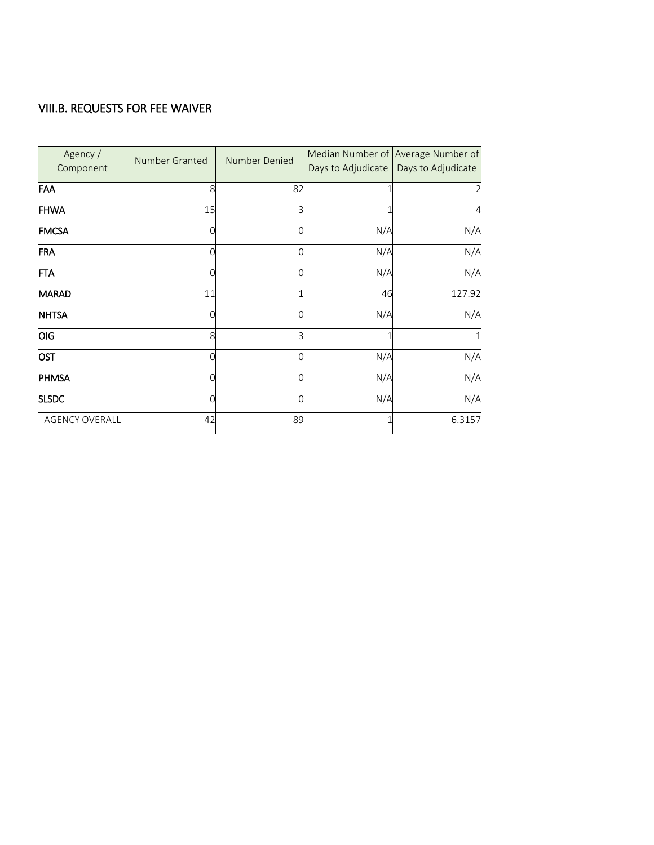### VIII.B. REQUESTS FOR FEE WAIVER

| Agency /<br>Component | Number Granted | Number Denied | Days to Adjudicate | Median Number of Average Number of<br>Days to Adjudicate |
|-----------------------|----------------|---------------|--------------------|----------------------------------------------------------|
| FAA                   | 8              | 82            |                    | 2                                                        |
| <b>FHWA</b>           | 15             | 3             |                    | $\overline{4}$                                           |
| <b>FMCSA</b>          |                | 0             | N/A                | N/A                                                      |
| FRA                   |                | Ω             | N/A                | N/A                                                      |
| FTA                   |                | Ω             | N/A                | N/A                                                      |
| <b>MARAD</b>          | 11             | 1             | 46                 | 127.92                                                   |
| <b>NHTSA</b>          |                | 0             | N/A                | N/A                                                      |
| OIG                   | 8              | 3             |                    | 1                                                        |
| OST                   |                | Ω             | N/A                | N/A                                                      |
| PHMSA                 |                | 0             | N/A                | N/A                                                      |
| <b>SLSDC</b>          |                | 0             | N/A                | N/A                                                      |
| <b>AGENCY OVERALL</b> | 42             | 89            |                    | 6.3157                                                   |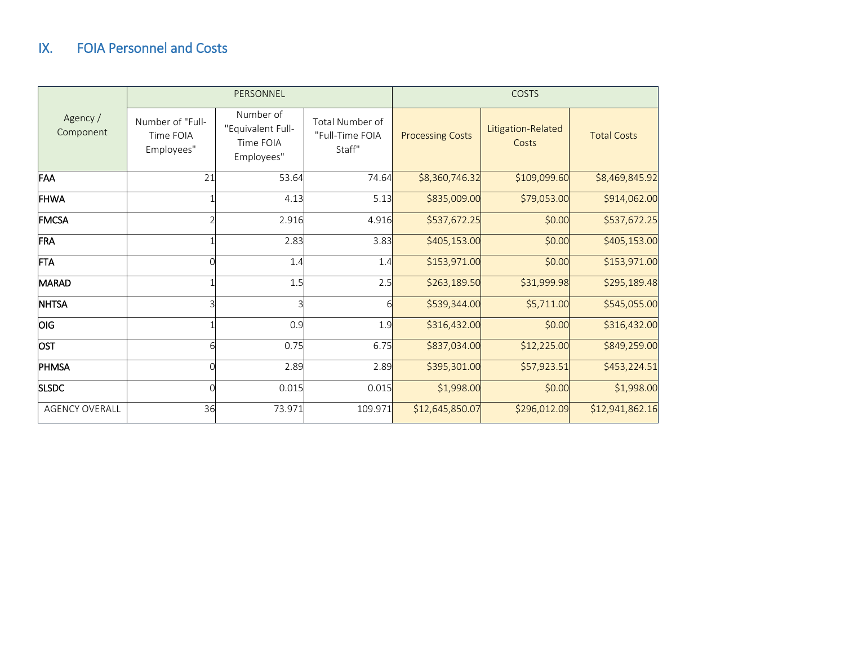## IX. FOIA Personnel and Costs

<span id="page-26-0"></span>

|                       |                                             | PERSONNEL                                                 |                                              | <b>COSTS</b>            |                             |                    |
|-----------------------|---------------------------------------------|-----------------------------------------------------------|----------------------------------------------|-------------------------|-----------------------------|--------------------|
| Agency /<br>Component | Number of "Full-<br>Time FOIA<br>Employees" | Number of<br>"Equivalent Full-<br>Time FOIA<br>Employees" | Total Number of<br>"Full-Time FOIA<br>Staff" | <b>Processing Costs</b> | Litigation-Related<br>Costs | <b>Total Costs</b> |
| FAA                   | 21                                          | 53.64                                                     | 74.64                                        | \$8,360,746.32          | \$109,099.60                | \$8,469,845.92     |
| <b>FHWA</b>           |                                             | 4.13                                                      | 5.13                                         | \$835,009.00            | \$79,053.00                 | \$914,062.00       |
| <b>FMCSA</b>          |                                             | 2.916                                                     | 4.916                                        | \$537,672.25            | \$0.00                      | \$537,672.25       |
| FRA                   |                                             | 2.83                                                      | 3.83                                         | \$405,153.00            | \$0.00                      | \$405,153.00       |
| <b>FTA</b>            |                                             | 1.4                                                       | 1.4                                          | \$153,971.00            | \$0.00                      | \$153,971.00       |
| <b>MARAD</b>          |                                             | 1.5                                                       | 2.5                                          | \$263,189.50            | \$31,999.98                 | \$295,189.48       |
| <b>NHTSA</b>          |                                             | Ρ                                                         | 6                                            | \$539,344.00            | \$5,711.00                  | \$545,055.00       |
| <b>OIG</b>            |                                             | 0.9                                                       | 1.9                                          | \$316,432.00            | \$0.00                      | \$316,432.00       |
| <b>OST</b>            | 6                                           | 0.75                                                      | 6.75                                         | \$837,034.00            | \$12,225.00                 | \$849,259.00       |
| PHMSA                 |                                             | 2.89                                                      | 2.89                                         | \$395,301.00            | \$57,923.51                 | \$453,224.51       |
| <b>SLSDC</b>          |                                             | 0.015                                                     | 0.015                                        | \$1,998.00              | \$0.00                      | \$1,998.00         |
| <b>AGENCY OVERALL</b> | 36                                          | 73.971                                                    | 109.971                                      | \$12,645,850.07         | \$296,012.09                | \$12,941,862.16    |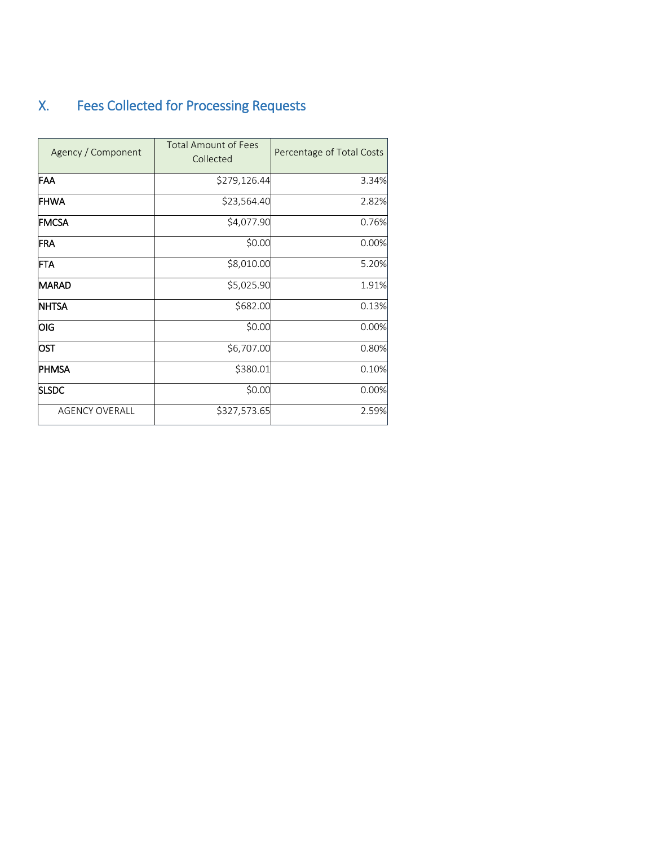# <span id="page-27-0"></span>X. Fees Collected for Processing Requests

| Agency / Component    | <b>Total Amount of Fees</b><br>Collected | Percentage of Total Costs |
|-----------------------|------------------------------------------|---------------------------|
| FAA                   | \$279,126.44                             | 3.34%                     |
| <b>FHWA</b>           | \$23,564.40                              | 2.82%                     |
| <b>FMCSA</b>          | \$4,077.90                               | 0.76%                     |
| <b>FRA</b>            | \$0.00                                   | 0.00%                     |
| <b>FTA</b>            | \$8,010.00                               | 5.20%                     |
| <b>MARAD</b>          | \$5,025.90                               | 1.91%                     |
| <b>NHTSA</b>          | \$682.00                                 | 0.13%                     |
| OIG                   | \$0.00                                   | 0.00%                     |
| <b>OST</b>            | \$6,707.00                               | 0.80%                     |
| <b>PHMSA</b>          | \$380.01                                 | 0.10%                     |
| <b>SLSDC</b>          | \$0.00                                   | 0.00%                     |
| <b>AGENCY OVERALL</b> | \$327,573.65                             | 2.59%                     |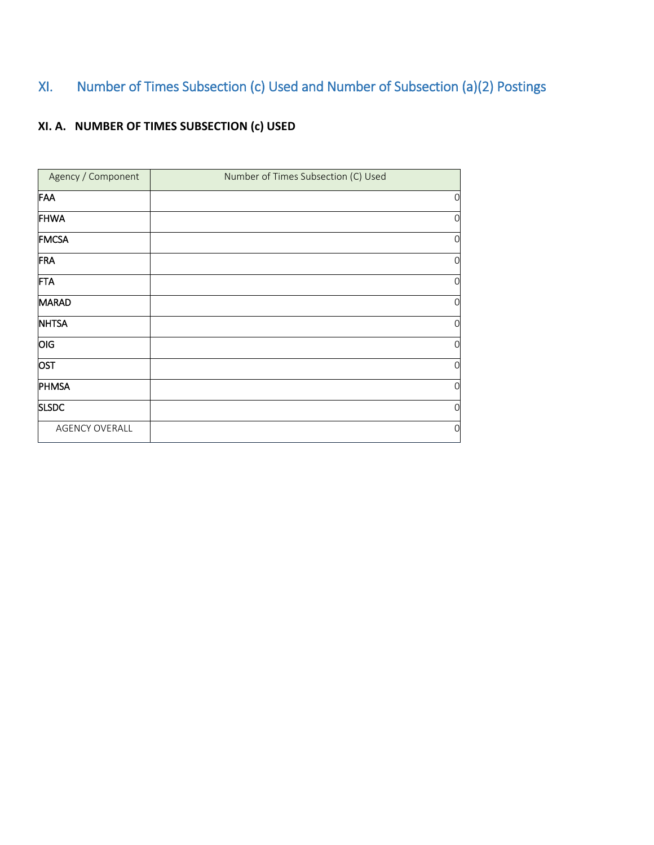## <span id="page-28-0"></span>XI. Number of Times Subsection (c) Used and Number of Subsection (a)(2) Postings

## **XI. A. NUMBER OF TIMES SUBSECTION (c) USED**

| Agency / Component    | Number of Times Subsection (C) Used |                |
|-----------------------|-------------------------------------|----------------|
| FAA                   |                                     | $\mathbf 0$    |
| <b>FHWA</b>           |                                     | $\mathbf 0$    |
| <b>FMCSA</b>          |                                     | 0              |
| FRA                   |                                     | $\mathbf 0$    |
| FTA                   |                                     | $\mathbf 0$    |
| MARAD                 |                                     | $\overline{0}$ |
| <b>NHTSA</b>          |                                     | 0              |
| <b>OIG</b>            |                                     | $\mathbf 0$    |
| <b>OST</b>            |                                     | $\mathbf 0$    |
| PHMSA                 |                                     | 0              |
| <b>SLSDC</b>          |                                     | $\mathbf 0$    |
| <b>AGENCY OVERALL</b> |                                     | 0              |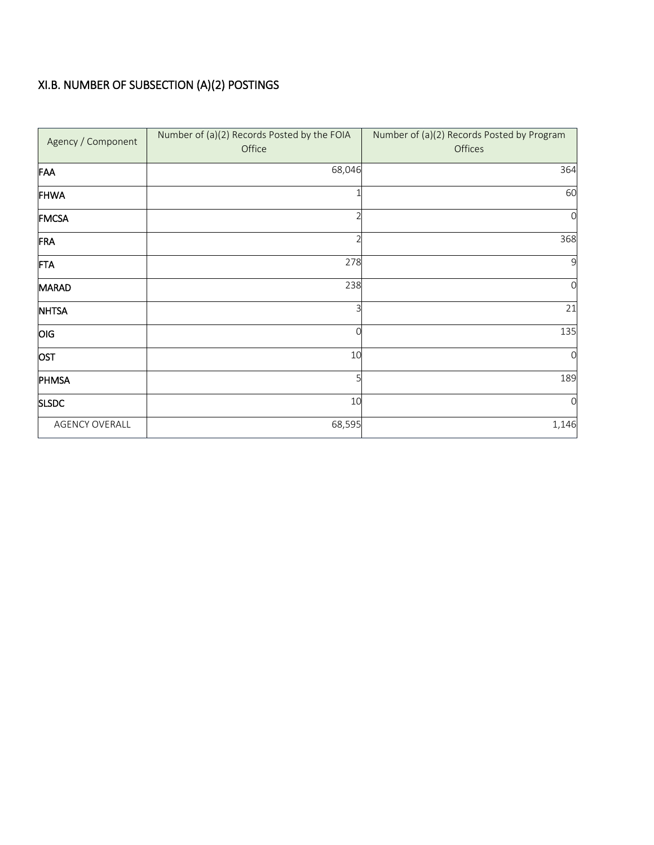## XI.B. NUMBER OF SUBSECTION (A)(2) POSTINGS

| Agency / Component    | Number of (a)(2) Records Posted by the FOIA<br>Office | Number of (a)(2) Records Posted by Program<br>Offices |
|-----------------------|-------------------------------------------------------|-------------------------------------------------------|
| FAA                   | 68,046                                                | 364                                                   |
| <b>FHWA</b>           |                                                       | 60                                                    |
| <b>FMCSA</b>          |                                                       | 0                                                     |
| FRA                   |                                                       | 368                                                   |
| FTA                   | 278                                                   | 9                                                     |
| MARAD                 | 238                                                   | $\mathcal{O}$                                         |
| <b>NHTSA</b>          | 3                                                     | 21                                                    |
| OIG                   | ∩                                                     | 135                                                   |
| OST                   | 10                                                    | $\Omega$                                              |
| PHMSA                 | 5                                                     | 189                                                   |
| <b>SLSDC</b>          | 10                                                    | $\Omega$                                              |
| <b>AGENCY OVERALL</b> | 68,595                                                | 1,146                                                 |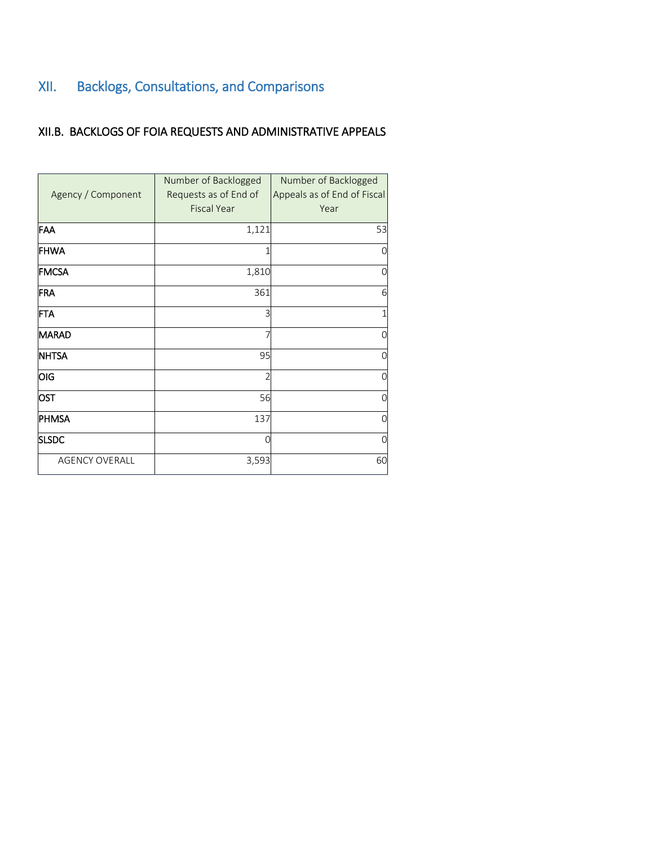# <span id="page-30-0"></span>XII. Backlogs, Consultations, and Comparisons

### XII.B. BACKLOGS OF FOIA REQUESTS AND ADMINISTRATIVE APPEALS

|                       | Number of Backlogged  | Number of Backlogged        |
|-----------------------|-----------------------|-----------------------------|
| Agency / Component    | Requests as of End of | Appeals as of End of Fiscal |
|                       | <b>Fiscal Year</b>    | Year                        |
| FAA                   | 1,121                 | 53                          |
| <b>FHWA</b>           |                       |                             |
| <b>FMCSA</b>          | 1,810                 |                             |
| FRA                   | 361                   | 6                           |
| <b>FTA</b>            | 3                     |                             |
| <b>MARAD</b>          |                       |                             |
| <b>NHTSA</b>          | 95                    |                             |
| OIG                   | 2                     |                             |
| OST                   | 56                    |                             |
| PHMSA                 | 137                   |                             |
| <b>SLSDC</b>          | C                     |                             |
| <b>AGENCY OVERALL</b> | 3,593                 | 60                          |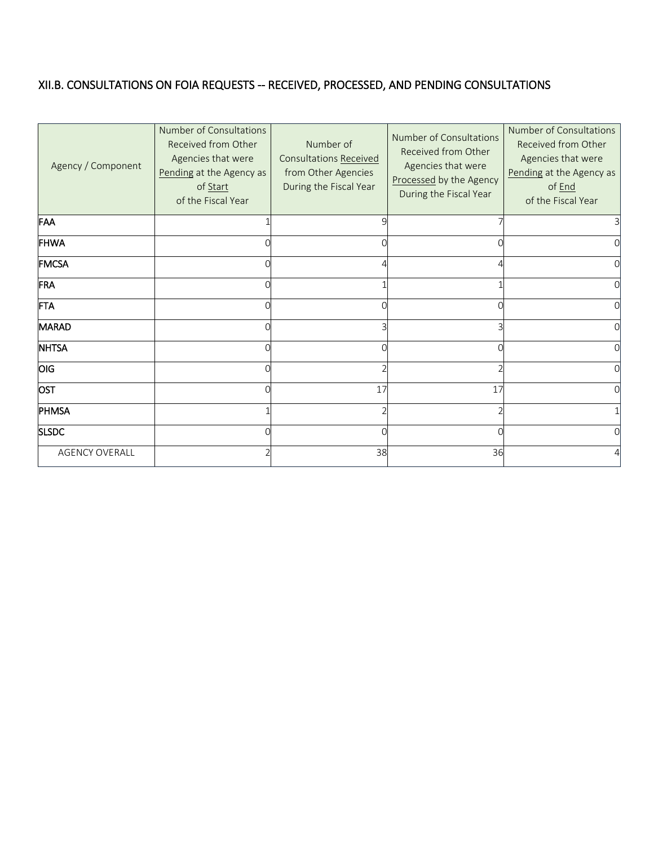## XII.B. CONSULTATIONS ON FOIA REQUESTS -- RECEIVED, PROCESSED, AND PENDING CONSULTATIONS

| Agency / Component    | <b>Number of Consultations</b><br>Received from Other<br>Agencies that were<br>Pending at the Agency as<br>of Start<br>of the Fiscal Year | Number of<br>Consultations Received<br>from Other Agencies<br>During the Fiscal Year | Number of Consultations<br>Received from Other<br>Agencies that were<br>Processed by the Agency<br>During the Fiscal Year | Number of Consultations<br>Received from Other<br>Agencies that were<br>Pending at the Agency as<br>of End<br>of the Fiscal Year |
|-----------------------|-------------------------------------------------------------------------------------------------------------------------------------------|--------------------------------------------------------------------------------------|---------------------------------------------------------------------------------------------------------------------------|----------------------------------------------------------------------------------------------------------------------------------|
| FAA                   |                                                                                                                                           |                                                                                      |                                                                                                                           |                                                                                                                                  |
| <b>FHWA</b>           |                                                                                                                                           |                                                                                      |                                                                                                                           |                                                                                                                                  |
| <b>FMCSA</b>          |                                                                                                                                           |                                                                                      |                                                                                                                           |                                                                                                                                  |
| FRA                   |                                                                                                                                           |                                                                                      |                                                                                                                           |                                                                                                                                  |
| <b>FTA</b>            |                                                                                                                                           |                                                                                      |                                                                                                                           |                                                                                                                                  |
| MARAD                 |                                                                                                                                           |                                                                                      |                                                                                                                           |                                                                                                                                  |
| <b>NHTSA</b>          |                                                                                                                                           |                                                                                      |                                                                                                                           |                                                                                                                                  |
| OIG                   |                                                                                                                                           |                                                                                      |                                                                                                                           |                                                                                                                                  |
| <b>OST</b>            |                                                                                                                                           | 17                                                                                   | 17                                                                                                                        |                                                                                                                                  |
| <b>PHMSA</b>          |                                                                                                                                           |                                                                                      |                                                                                                                           |                                                                                                                                  |
| <b>SLSDC</b>          |                                                                                                                                           | $\Omega$                                                                             |                                                                                                                           |                                                                                                                                  |
| <b>AGENCY OVERALL</b> |                                                                                                                                           | 38                                                                                   | 36                                                                                                                        |                                                                                                                                  |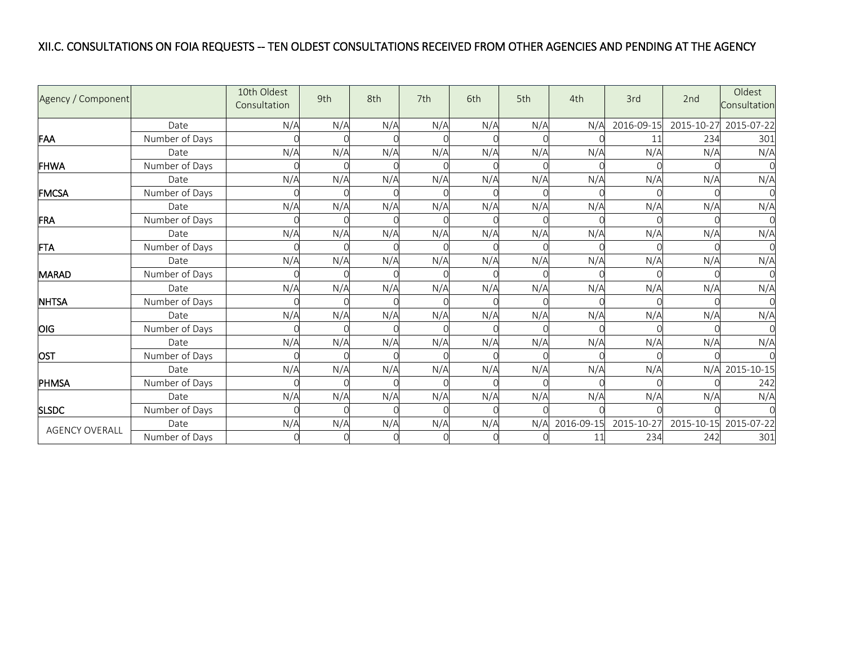### XII.C. CONSULTATIONS ON FOIA REQUESTS -- TEN OLDEST CONSULTATIONS RECEIVED FROM OTHER AGENCIES AND PENDING AT THE AGENCY

| Agency / Component    |                | 10th Oldest<br>Consultation | 9th | 8th      | 7th      | 6th | 5th | 4th        | 3rd        | 2nd        | Oldest<br>Consultation |
|-----------------------|----------------|-----------------------------|-----|----------|----------|-----|-----|------------|------------|------------|------------------------|
|                       | Date           | N/A                         | N/A | N/A      | N/A      | N/A | N/A | N/A        | 2016-09-15 | 2015-10-27 | 2015-07-22             |
| FAA                   | Number of Days |                             |     |          |          |     |     |            |            | 234        | 301                    |
|                       | Date           | N/A                         | N/A | N/A      | N/A      | N/A | N/A | N/A        | N/A        | N/A        | N/A                    |
| FHWA                  | Number of Days |                             |     |          |          |     |     |            |            |            |                        |
|                       | Date           | N/A                         | N/A | N/A      | N/A      | N/A | N/A | N/A        | N/A        | N/A        | N/A                    |
| <b>FMCSA</b>          | Number of Days |                             |     |          |          |     |     |            |            |            |                        |
|                       | Date           | N/A                         | N/A | N/A      | N/A      | N/A | N/A | N/A        | N/A        | N/A        | N/A                    |
| FRA                   | Number of Days |                             |     |          |          |     |     |            |            |            |                        |
|                       | Date           | N/A                         | N/A | N/A      | N/A      | N/A | N/A | N/A        | N/A        | N/A        | N/A                    |
| <b>FTA</b>            | Number of Days |                             |     |          |          |     |     |            |            |            |                        |
|                       | Date           | N/A                         | N/A | N/A      | N/A      | N/A | N/A | N/A        | N/A        | N/A        | N/A                    |
| <b>MARAD</b>          | Number of Days |                             |     |          |          |     |     |            |            |            |                        |
|                       | Date           | N/A                         | N/A | N/A      | N/A      | N/A | N/A | N/A        | N/A        | N/A        | N/A                    |
| <b>NHTSA</b>          | Number of Days |                             |     |          |          |     |     |            |            |            |                        |
|                       | Date           | N/A                         | N/A | N/A      | N/A      | N/A | N/A | N/A        | N/A        | N/A        | N/A                    |
| <b>OIG</b>            | Number of Days |                             |     |          |          |     |     |            |            |            |                        |
|                       | Date           | N/A                         | N/A | N/A      | N/A      | N/A | N/A | N/A        | N/A        | N/A        | N/A                    |
| <b>OST</b>            | Number of Days |                             |     |          |          |     |     |            |            |            |                        |
|                       | Date           | N/A                         | N/A | N/A      | N/A      | N/A | N/A | N/A        | N/A        | N/A        | 2015-10-15             |
| PHMSA                 | Number of Days |                             |     |          |          |     |     |            |            |            | 242                    |
|                       | Date           | N/A                         | N/A | N/A      | N/A      | N/A | N/A | N/A        | N/A        | N/A        | N/A                    |
| <b>SLSDC</b>          | Number of Days |                             |     |          |          |     |     |            |            |            |                        |
|                       | Date           | N/A                         | N/A | N/A      | N/A      | N/A | N/A | 2016-09-15 | 2015-10-27 | 2015-10-15 | 2015-07-22             |
| <b>AGENCY OVERALL</b> | Number of Days |                             |     | $\Omega$ | $\Omega$ |     |     | 11         | 234        | 242        | 301                    |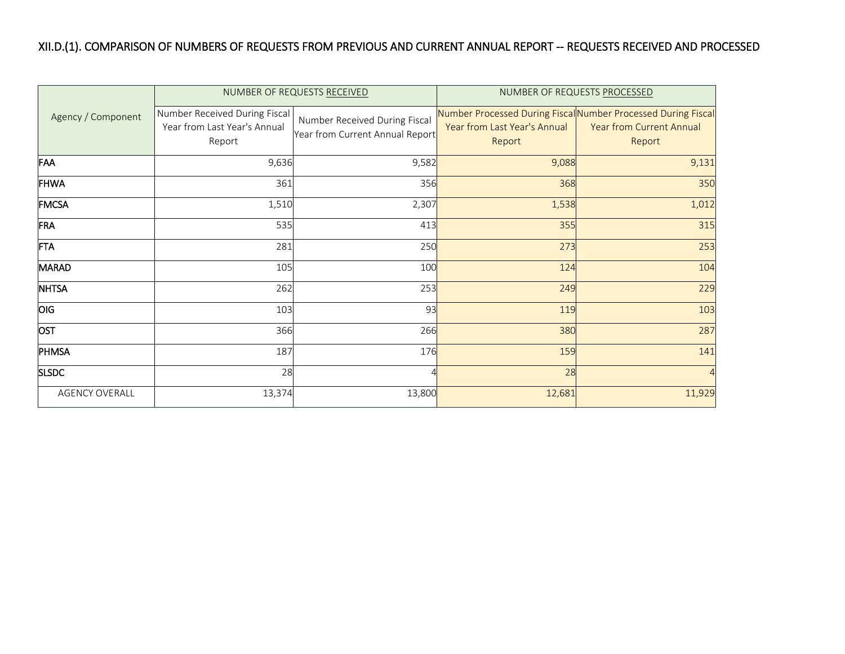## XII.D.(1). COMPARISON OF NUMBERS OF REQUESTS FROM PREVIOUS AND CURRENT ANNUAL REPORT -- REQUESTS RECEIVED AND PROCESSED

|                       |                                                                         | NUMBER OF REQUESTS RECEIVED                                      | NUMBER OF REQUESTS PROCESSED           |                                                                                                            |  |
|-----------------------|-------------------------------------------------------------------------|------------------------------------------------------------------|----------------------------------------|------------------------------------------------------------------------------------------------------------|--|
| Agency / Component    | Number Received During Fiscal<br>Year from Last Year's Annual<br>Report | Number Received During Fiscal<br>Year from Current Annual Report | Year from Last Year's Annual<br>Report | Number Processed During Fiscal Number Processed During Fiscal<br><b>Year from Current Annual</b><br>Report |  |
| FAA                   | 9,636                                                                   | 9,582                                                            | 9,088                                  | 9,131                                                                                                      |  |
| <b>FHWA</b>           | 361                                                                     | 356                                                              | 368                                    | 350                                                                                                        |  |
| <b>FMCSA</b>          | 1,510                                                                   | 2,307                                                            | 1,538                                  | 1,012                                                                                                      |  |
| FRA                   | 535                                                                     | 413                                                              | 355                                    | 315                                                                                                        |  |
| <b>FTA</b>            | 281                                                                     | 250                                                              | 273                                    | 253                                                                                                        |  |
| MARAD                 | 105                                                                     | 100                                                              | 124                                    | 104                                                                                                        |  |
| <b>NHTSA</b>          | 262                                                                     | 253                                                              | 249                                    | 229                                                                                                        |  |
| OIG                   | 103                                                                     | 93                                                               | 119                                    | 103                                                                                                        |  |
| OST                   | 366                                                                     | 266                                                              | 380                                    | 287                                                                                                        |  |
| PHMSA                 | 187                                                                     | 176                                                              | 159                                    | 141                                                                                                        |  |
| <b>SLSDC</b>          | 28                                                                      |                                                                  | 28                                     | $\overline{4}$                                                                                             |  |
| <b>AGENCY OVERALL</b> | 13,374                                                                  | 13,800                                                           | 12,681                                 | 11,929                                                                                                     |  |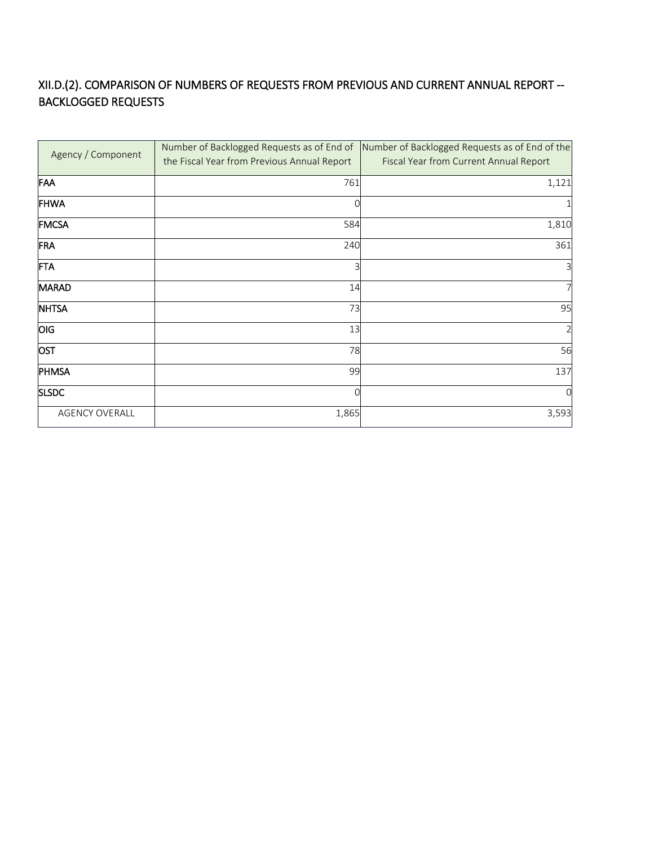### XII.D.(2). COMPARISON OF NUMBERS OF REQUESTS FROM PREVIOUS AND CURRENT ANNUAL REPORT -- BACKLOGGED REQUESTS

| Agency / Component    | the Fiscal Year from Previous Annual Report | Number of Backlogged Requests as of End of Number of Backlogged Requests as of End of the<br>Fiscal Year from Current Annual Report |
|-----------------------|---------------------------------------------|-------------------------------------------------------------------------------------------------------------------------------------|
| FAA                   | 761                                         | 1,121                                                                                                                               |
| <b>FHWA</b>           |                                             |                                                                                                                                     |
| <b>FMCSA</b>          | 584                                         | 1,810                                                                                                                               |
| FRA                   | 240                                         | 361                                                                                                                                 |
| FTA                   |                                             | 3                                                                                                                                   |
| <b>MARAD</b>          | 14                                          | 7                                                                                                                                   |
| <b>NHTSA</b>          | 73                                          | 95                                                                                                                                  |
| OIG                   | 13                                          | 2                                                                                                                                   |
| <b>OST</b>            | 78                                          | 56                                                                                                                                  |
| PHMSA                 | 99                                          | 137                                                                                                                                 |
| <b>SLSDC</b>          |                                             | $\Omega$                                                                                                                            |
| <b>AGENCY OVERALL</b> | 1,865                                       | 3,593                                                                                                                               |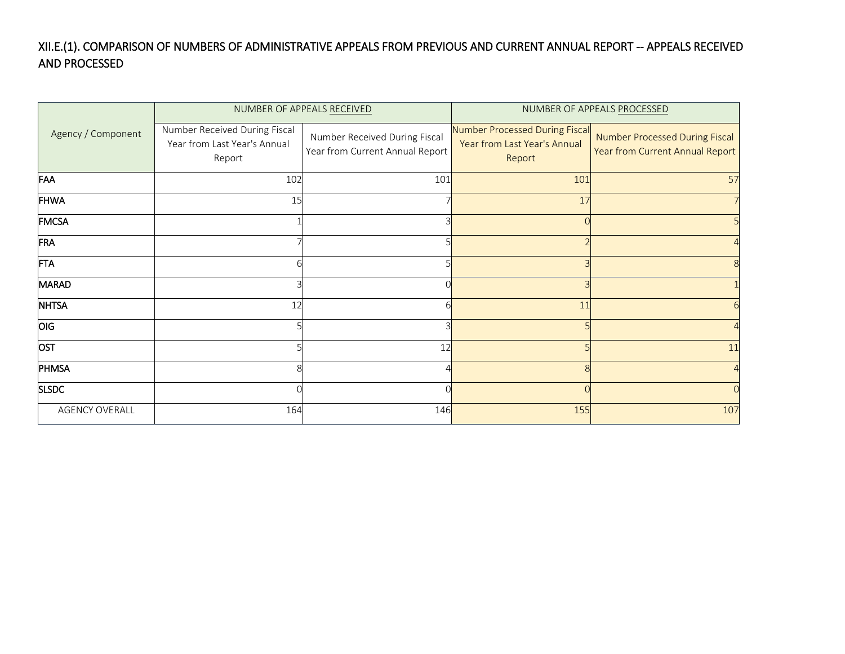### XII.E.(1). COMPARISON OF NUMBERS OF ADMINISTRATIVE APPEALS FROM PREVIOUS AND CURRENT ANNUAL REPORT -- APPEALS RECEIVED AND PROCESSED

|                       | NUMBER OF APPEALS RECEIVED                                              |                                                                  | NUMBER OF APPEALS PROCESSED                                              |                                                                   |  |
|-----------------------|-------------------------------------------------------------------------|------------------------------------------------------------------|--------------------------------------------------------------------------|-------------------------------------------------------------------|--|
| Agency / Component    | Number Received During Fiscal<br>Year from Last Year's Annual<br>Report | Number Received During Fiscal<br>Year from Current Annual Report | Number Processed During Fiscal<br>Year from Last Year's Annual<br>Report | Number Processed During Fiscal<br>Year from Current Annual Report |  |
| FAA                   | 102                                                                     | 101                                                              | 101                                                                      | 57                                                                |  |
| <b>FHWA</b>           | 15                                                                      |                                                                  | 17                                                                       |                                                                   |  |
| <b>FMCSA</b>          |                                                                         |                                                                  |                                                                          |                                                                   |  |
| FRA                   |                                                                         |                                                                  |                                                                          |                                                                   |  |
| <b>FTA</b>            |                                                                         |                                                                  |                                                                          |                                                                   |  |
| <b>MARAD</b>          |                                                                         |                                                                  |                                                                          |                                                                   |  |
| <b>NHTSA</b>          | 12                                                                      |                                                                  | 11                                                                       |                                                                   |  |
| <b>OIG</b>            |                                                                         |                                                                  |                                                                          |                                                                   |  |
| <b>OST</b>            |                                                                         | 12                                                               |                                                                          | 11                                                                |  |
| PHMSA                 |                                                                         |                                                                  |                                                                          |                                                                   |  |
| <b>SLSDC</b>          |                                                                         |                                                                  |                                                                          |                                                                   |  |
| <b>AGENCY OVERALL</b> | 164                                                                     | 146                                                              | 155                                                                      | 107                                                               |  |